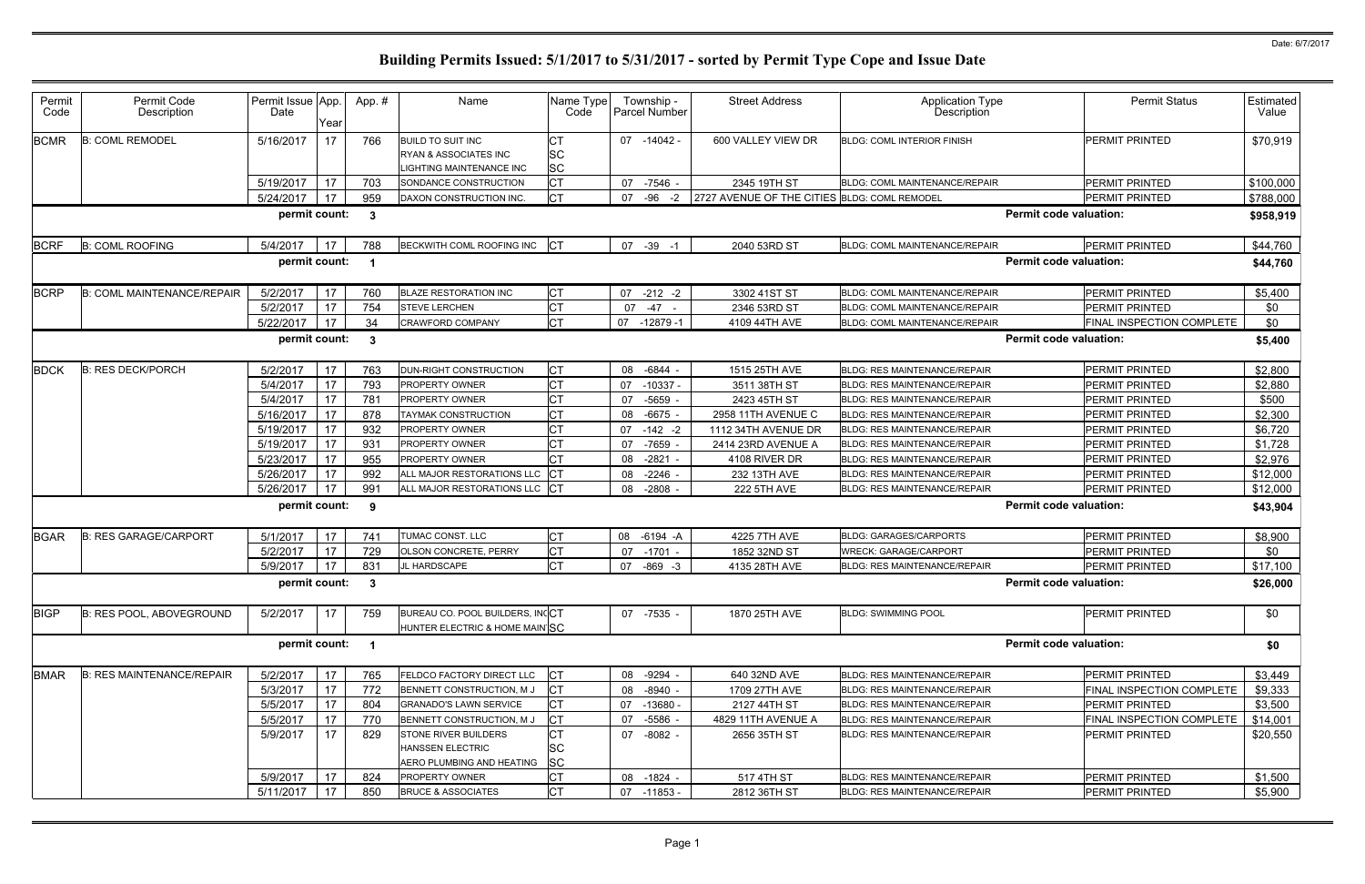| Permit<br>Code | Permit Code<br>Description        | Permit Issue App.<br>Date | Year | App.#        | Name                                                                                | Name Type<br>Code                   | Township -<br>Parcel Number |            | <b>Street Address</b>                        | <b>Application Type</b><br>Description |                               | <b>Permit Status</b>             | Estimated<br>Value |
|----------------|-----------------------------------|---------------------------|------|--------------|-------------------------------------------------------------------------------------|-------------------------------------|-----------------------------|------------|----------------------------------------------|----------------------------------------|-------------------------------|----------------------------------|--------------------|
| <b>BCMR</b>    | <b>B: COML REMODEL</b>            | 5/16/2017                 | 17   | 766          | <b>BUILD TO SUIT INC</b><br>RYAN & ASSOCIATES INC<br><b>IGHTING MAINTENANCE INC</b> | <b>CT</b><br><b>SC</b><br><b>SC</b> | 07 -14042 -                 |            | 600 VALLEY VIEW DR                           | <b>BLDG: COML INTERIOR FINISH</b>      |                               | PERMIT PRINTED                   | \$70,919           |
|                |                                   | 5/19/2017                 | 17   | 703          | SONDANCE CONSTRUCTION                                                               | <b>CT</b>                           | 07                          | -7546 -    | 2345 19TH ST                                 | <b>BLDG: COML MAINTENANCE/REPAIR</b>   |                               | <b>PERMIT PRINTED</b>            | \$100,000          |
|                |                                   | 5/24/2017                 | 17   | 959          | DAXON CONSTRUCTION INC.                                                             | <b>CT</b>                           | -96<br>07                   | -2         | 2727 AVENUE OF THE CITIES BLDG: COML REMODEL |                                        |                               | PERMIT PRINTED                   | \$788,000          |
|                |                                   | permit count:             |      | $\mathbf{3}$ |                                                                                     |                                     |                             |            |                                              |                                        | Permit code valuation:        |                                  | \$958,919          |
| <b>BCRF</b>    | <b>B: COML ROOFING</b>            | 5/4/2017                  | 17   | 788          | BECKWITH COML ROOFING INC                                                           | CT                                  | 07 -39                      | - 1        | 2040 53RD ST                                 | <b>BLDG: COML MAINTENANCE/REPAIR</b>   |                               | PERMIT PRINTED                   | \$44,760           |
|                |                                   | permit count:             |      |              |                                                                                     |                                     |                             |            |                                              |                                        | <b>Permit code valuation:</b> |                                  | \$44,760           |
| <b>BCRP</b>    | <b>B: COML MAINTENANCE/REPAIR</b> | 5/2/2017                  | 17   | 760          | <b>BLAZE RESTORATION INC</b>                                                        | <b>CT</b>                           | $07 - 212 - 2$              |            | 3302 41ST ST                                 | BLDG: COML MAINTENANCE/REPAIR          |                               | PERMIT PRINTED                   | \$5,400            |
|                |                                   | 5/2/2017                  | 17   | 754          | <b>STEVE LERCHEN</b>                                                                | <b>CT</b>                           | 07 -47 -                    |            | 2346 53RD ST                                 | <b>BLDG: COML MAINTENANCE/REPAIR</b>   |                               | <b>PERMIT PRINTED</b>            | \$0                |
|                |                                   | 5/22/2017                 | 17   | 34           | CRAWFORD COMPANY                                                                    | <b>CT</b>                           | 07 -12879 -1                |            | 4109 44TH AVE                                | BLDG: COML MAINTENANCE/REPAIR          |                               | FINAL INSPECTION COMPLETE        | \$0                |
|                |                                   | permit count:             |      | $\mathbf{3}$ |                                                                                     |                                     |                             |            |                                              |                                        | <b>Permit code valuation:</b> |                                  | \$5,400            |
| <b>BDCK</b>    | <b>B: RES DECK/PORCH</b>          | 5/2/2017                  | 17   | 763          | DUN-RIGHT CONSTRUCTION                                                              | <b>CT</b>                           | 08 -6844                    |            | 1515 25TH AVE                                | <b>BLDG: RES MAINTENANCE/REPAIR</b>    |                               | <b>PERMIT PRINTED</b>            | \$2,800            |
|                |                                   | 5/4/2017                  | 17   | 793          | <b>PROPERTY OWNER</b>                                                               | <b>CT</b>                           | 07                          | $-10337 -$ | 3511 38TH ST                                 | <b>BLDG: RES MAINTENANCE/REPAIR</b>    |                               | PERMIT PRINTED                   | \$2,880            |
|                |                                   | 5/4/2017                  | 17   | 781          | PROPERTY OWNER                                                                      | Iст                                 | 07                          | -5659      | 2423 45TH ST                                 | <b>BLDG: RES MAINTENANCE/REPAIR</b>    |                               | PERMIT PRINTED                   | \$500              |
|                |                                   | 5/16/2017                 | 17   | 878          | TAYMAK CONSTRUCTION                                                                 | <b>CT</b>                           | 08                          | $-6675$    | 2958 11TH AVENUE C                           | <b>BLDG: RES MAINTENANCE/REPAIR</b>    |                               | PERMIT PRINTED                   | \$2,300            |
|                |                                   | 5/19/2017                 | 17   | 932          | PROPERTY OWNER                                                                      | Iст                                 | 07 -142 -2                  |            | 1112 34TH AVENUE DR                          | <b>BLDG: RES MAINTENANCE/REPAIR</b>    |                               | PERMIT PRINTED                   | \$6,720            |
|                |                                   | 5/19/2017                 | 17   | 931          | PROPERTY OWNER                                                                      | <b>CT</b>                           | 07                          | -7659      | 2414 23RD AVENUE A                           | <b>BLDG: RES MAINTENANCE/REPAIR</b>    |                               | PERMIT PRINTED                   | \$1,728            |
|                |                                   | 5/23/2017                 | 17   | 955          | PROPERTY OWNER                                                                      | Iст                                 | 08                          | $-2821$    | 4108 RIVER DR                                | <b>BLDG: RES MAINTENANCE/REPAIR</b>    |                               | PERMIT PRINTED                   | \$2,976            |
|                |                                   | 5/26/2017                 | 17   | 992          | ALL MAJOR RESTORATIONS LLC CT                                                       |                                     | 08                          | $-2246$    | 232 13TH AVE                                 | <b>BLDG: RES MAINTENANCE/REPAIR</b>    |                               | PERMIT PRINTED                   | \$12,000           |
|                |                                   | 5/26/2017                 | 17   | 991          | ALL MAJOR RESTORATIONS LLC CT                                                       |                                     | 08                          | $-2808$    | <b>222 5TH AVE</b>                           | BLDG: RES MAINTENANCE/REPAIR           |                               | <b>PERMIT PRINTED</b>            | \$12,000           |
|                |                                   | permit count:             |      | 9            |                                                                                     |                                     |                             |            |                                              |                                        | <b>Permit code valuation:</b> |                                  | \$43,904           |
| <b>BGAR</b>    | <b>B: RES GARAGE/CARPORT</b>      | 5/1/2017                  | 17   | 741          | TUMAC CONST. LLC                                                                    | <b>CT</b>                           | 08 -6194 -A                 |            | 4225 7TH AVE                                 | <b>BLDG: GARAGES/CARPORTS</b>          |                               | PERMIT PRINTED                   | \$8,900            |
|                |                                   | 5/2/2017                  | 17   | 729          | OLSON CONCRETE, PERRY                                                               | <b>CT</b>                           | 07 -1701                    |            | 1852 32ND ST                                 | <b>WRECK: GARAGE/CARPORT</b>           |                               | <b>PERMIT PRINTED</b>            | \$0                |
|                |                                   | 5/9/2017                  | 17   | 831          | JL HARDSCAPE                                                                        | <b>CT</b>                           | 07                          | $-869 - 3$ | 4135 28TH AVE                                | <b>BLDG: RES MAINTENANCE/REPAIR</b>    |                               | PERMIT PRINTED                   | \$17,100           |
|                |                                   | permit count:             |      | -3           |                                                                                     |                                     |                             |            |                                              |                                        | <b>Permit code valuation:</b> |                                  | \$26,000           |
| <b>BIGP</b>    | <b>B: RES POOL, ABOVEGROUND</b>   | 5/2/2017                  | 17   | 759          | BUREAU CO. POOL BUILDERS, INCCT<br>HUNTER ELECTRIC & HOME MAIN SC                   |                                     | 07 -7535                    |            | 1870 25TH AVE                                | <b>BLDG: SWIMMING POOL</b>             |                               | PERMIT PRINTED                   | \$0                |
|                |                                   | permit count:             |      | - 1          |                                                                                     |                                     |                             |            |                                              |                                        | <b>Permit code valuation:</b> |                                  | \$0                |
| <b>BMAR</b>    | <b>B: RES MAINTENANCE/REPAIR</b>  | 5/2/2017                  | 17   | 765          | FELDCO FACTORY DIRECT LLC                                                           | <b>CT</b>                           | 08 -9294                    |            | 640 32ND AVE                                 | BLDG: RES MAINTENANCE/REPAIR           |                               | PERMIT PRINTED                   | \$3,449            |
|                |                                   | 5/3/2017                  | 17   | 772          | BENNETT CONSTRUCTION, M J                                                           | <b>CT</b>                           | 08 -8940                    |            | 1709 27TH AVE                                | <b>BLDG: RES MAINTENANCE/REPAIR</b>    |                               | FINAL INSPECTION COMPLETE        | \$9,333            |
|                |                                   | 5/5/2017                  | 17   | 804          | <b>GRANADO'S LAWN SERVICE</b>                                                       | <b>CT</b>                           | 07 -13680                   |            | 2127 44TH ST                                 | <b>BLDG: RES MAINTENANCE/REPAIR</b>    |                               | <b>PERMIT PRINTED</b>            | \$3,500            |
|                |                                   | 5/5/2017                  | 17   | 770          | BENNETT CONSTRUCTION, M J                                                           | <b>CT</b>                           | 07                          | -5586      | 4829 11TH AVENUE A                           | <b>BLDG: RES MAINTENANCE/REPAIR</b>    |                               | <b>FINAL INSPECTION COMPLETE</b> | \$14,001           |
|                |                                   | 5/9/2017                  | 17   | 829          | STONE RIVER BUILDERS                                                                | <b>CT</b>                           | 07 -8082 -                  |            | 2656 35TH ST                                 | <b>BLDG: RES MAINTENANCE/REPAIR</b>    |                               | <b>PERMIT PRINTED</b>            | \$20,550           |
|                |                                   |                           |      |              | <b>HANSSEN ELECTRIC</b><br>AERO PLUMBING AND HEATING                                | <b>SC</b><br><b>SC</b>              |                             |            |                                              |                                        |                               |                                  |                    |
|                |                                   | 5/9/2017                  | 17   | 824          | PROPERTY OWNER                                                                      | <b>CT</b>                           | 08 -1824 -                  |            | 517 4TH ST                                   | <b>BLDG: RES MAINTENANCE/REPAIR</b>    |                               | <b>PERMIT PRINTED</b>            | \$1,500            |
|                |                                   | 5/11/2017                 | 17   | 850          | <b>BRUCE &amp; ASSOCIATES</b>                                                       | <b>CT</b>                           | 07 -11853 -                 |            | 2812 36TH ST                                 | BLDG: RES MAINTENANCE/REPAIR           |                               | <b>PERMIT PRINTED</b>            | \$5,900            |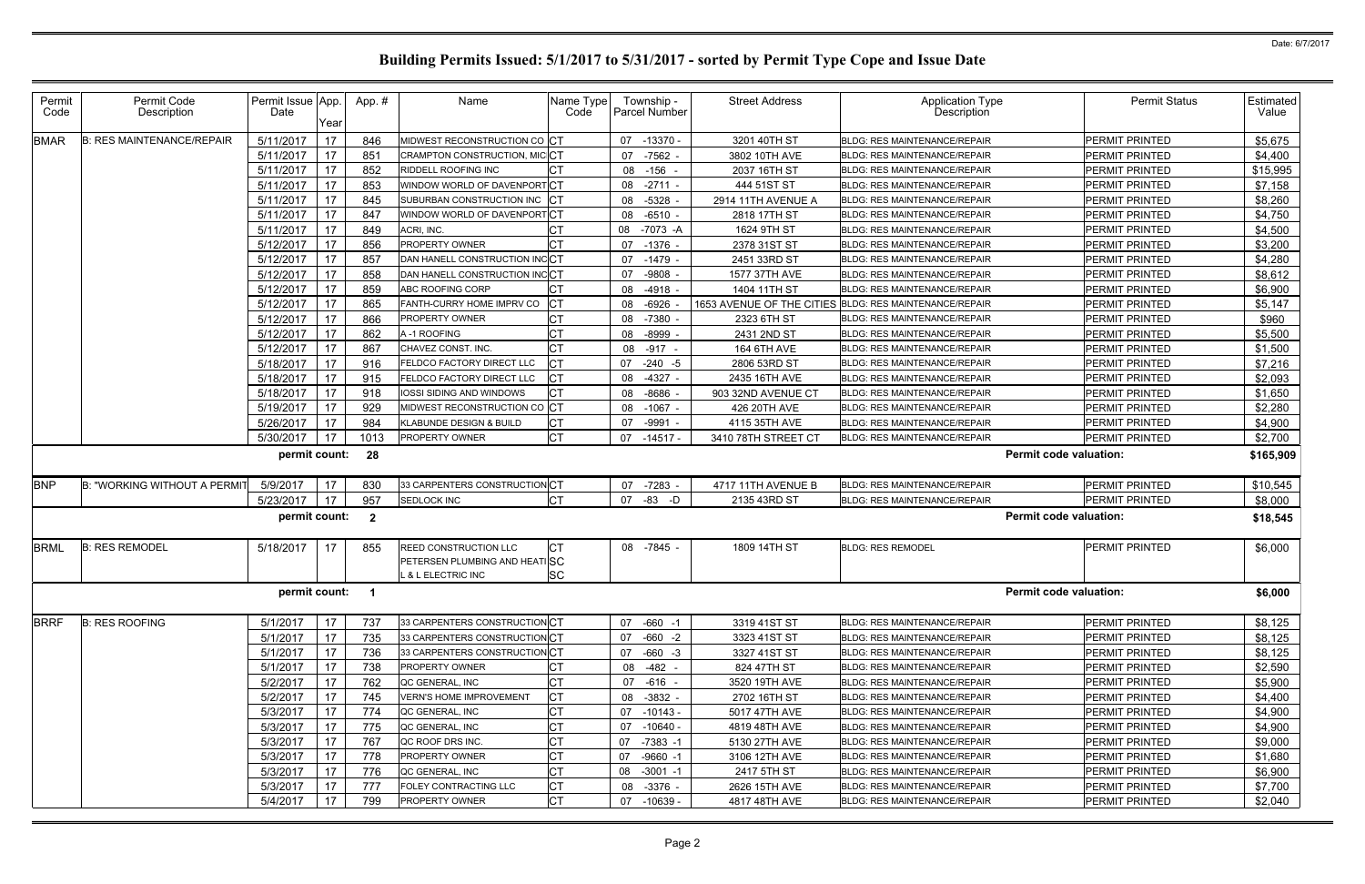| Permit<br>Code | Permit Code<br>Description       | Permit Issue App.<br>Date | Year | App. #                  | Name                                                                       | Name Type<br>Code | Township -<br><b>Parcel Number</b> | <b>Street Address</b>     | <b>Application Type</b><br>Description | <b>Permit Status</b>          | Estimated<br>Value |
|----------------|----------------------------------|---------------------------|------|-------------------------|----------------------------------------------------------------------------|-------------------|------------------------------------|---------------------------|----------------------------------------|-------------------------------|--------------------|
| <b>BMAR</b>    | <b>B: RES MAINTENANCE/REPAIR</b> | 5/11/2017                 | 17   | 846                     | MIDWEST RECONSTRUCTION CO CT                                               |                   | 07 -13370                          | 3201 40TH ST              | <b>BLDG: RES MAINTENANCE/REPAIR</b>    | PERMIT PRINTED                | \$5,675            |
|                |                                  | 5/11/2017                 | 17   | 851                     | CRAMPTON CONSTRUCTION, MIC CT                                              |                   | 07 -7562                           | 3802 10TH AVE             | <b>BLDG: RES MAINTENANCE/REPAIR</b>    | <b>PERMIT PRINTED</b>         | \$4,400            |
|                |                                  | 5/11/2017                 | 17   | 852                     | RIDDELL ROOFING INC                                                        |                   | 08 -156                            | 2037 16TH ST              | <b>BLDG: RES MAINTENANCE/REPAIR</b>    | <b>PERMIT PRINTED</b>         | \$15,995           |
|                |                                  | 5/11/2017                 | 17   | 853                     | WINDOW WORLD OF DAVENPORT CT                                               |                   | 08 -2711                           | 444 51ST ST               | <b>BLDG: RES MAINTENANCE/REPAIR</b>    | PERMIT PRINTED                | \$7,158            |
|                |                                  | 5/11/2017                 | 17   | 845                     | SUBURBAN CONSTRUCTION INC CT                                               |                   | 08 -5328                           | 2914 11TH AVENUE A        | <b>BLDG: RES MAINTENANCE/REPAIR</b>    | PERMIT PRINTED                | \$8,260            |
|                |                                  | 5/11/2017                 | 17   | 847                     | WINDOW WORLD OF DAVENPORT CT                                               |                   | 08 -6510                           | 2818 17TH ST              | <b>BLDG: RES MAINTENANCE/REPAIR</b>    | PERMIT PRINTED                | \$4,750            |
|                |                                  | 5/11/2017                 | 17   | 849                     | ACRI, INC.                                                                 |                   | 08 -7073 -A                        | 1624 9TH ST               | <b>BLDG: RES MAINTENANCE/REPAIR</b>    | PERMIT PRINTED                | \$4,500            |
|                |                                  | 5/12/2017                 | 17   | 856                     | PROPERTY OWNER                                                             |                   | 07 -1376                           | 2378 31ST ST              | BLDG: RES MAINTENANCE/REPAIR           | PERMIT PRINTED                | \$3,200            |
|                |                                  | 5/12/2017                 | 17   | 857                     | DAN HANELL CONSTRUCTION INCCT                                              |                   | 07 -1479                           | 2451 33RD ST              | <b>BLDG: RES MAINTENANCE/REPAIR</b>    | PERMIT PRINTED                | \$4,280            |
|                |                                  | 5/12/2017                 | 17   | 858                     | DAN HANELL CONSTRUCTION INCCT                                              |                   | 07 -9808                           | 1577 37TH AVE             | <b>BLDG: RES MAINTENANCE/REPAIR</b>    | PERMIT PRINTED                | \$8,612            |
|                |                                  | 5/12/2017                 | 17   | 859                     | ABC ROOFING CORP                                                           |                   | 08 -4918                           | 1404 11TH ST              | BLDG: RES MAINTENANCE/REPAIR           | PERMIT PRINTED                | \$6,900            |
|                |                                  | 5/12/2017                 | 17   | 865                     | FANTH-CURRY HOME IMPRV CO                                                  |                   | 08 -6926                           | 1653 AVENUE OF THE CITIES | <b>BLDG: RES MAINTENANCE/REPAIR</b>    | PERMIT PRINTED                | \$5,147            |
|                |                                  | 5/12/2017                 | 17   | 866                     | PROPERTY OWNER                                                             | <b>CT</b>         | 08 -7380                           | 2323 6TH ST               | <b>BLDG: RES MAINTENANCE/REPAIR</b>    | PERMIT PRINTED                | \$960              |
|                |                                  | 5/12/2017                 | 17   | 862                     | A-1 ROOFING                                                                |                   | 08 -8999                           | 2431 2ND ST               | <b>BLDG: RES MAINTENANCE/REPAIR</b>    | PERMIT PRINTED                | \$5,500            |
|                |                                  | 5/12/2017                 | 17   | 867                     | CHAVEZ CONST. INC.                                                         |                   | 08 -917 -                          | 164 6TH AVE               | BLDG: RES MAINTENANCE/REPAIR           | <b>PERMIT PRINTED</b>         | \$1,500            |
|                |                                  | 5/18/2017                 | 17   | 916                     | <b>ELDCO FACTORY DIRECT LLC</b>                                            |                   | 07 -240 -5                         | 2806 53RD ST              | <b>BLDG: RES MAINTENANCE/REPAIR</b>    | PERMIT PRINTED                | \$7,216            |
|                |                                  | 5/18/2017                 | 17   | 915                     | <b>ELDCO FACTORY DIRECT LLC</b>                                            |                   | 08 -4327                           | 2435 16TH AVE             | <b>BLDG: RES MAINTENANCE/REPAIR</b>    | PERMIT PRINTED                | \$2,093            |
|                |                                  | 5/18/2017                 | 17   | 918                     | IOSSI SIDING AND WINDOWS                                                   | <b>CT</b>         | 08 -8686                           | 903 32ND AVENUE CT        | <b>BLDG: RES MAINTENANCE/REPAIR</b>    | PERMIT PRINTED                | \$1,650            |
|                |                                  | 5/19/2017                 | 17   | 929                     | MIDWEST RECONSTRUCTION CO CT                                               |                   | 08 -1067                           | 426 20TH AVE              | <b>BLDG: RES MAINTENANCE/REPAIR</b>    | PERMIT PRINTED                | \$2,280            |
|                |                                  | 5/26/2017                 | 17   | 984                     | KLABUNDE DESIGN & BUILD                                                    |                   | -9991<br>07                        | 4115 35TH AVE             | BLDG: RES MAINTENANCE/REPAIR           | <b>PERMIT PRINTED</b>         | \$4,900            |
|                |                                  | 5/30/2017                 | 17   | 1013                    | PROPERTY OWNER                                                             |                   | 07 -14517 -                        | 3410 78TH STREET CT       | BLDG: RES MAINTENANCE/REPAIR           | PERMIT PRINTED                | \$2,700            |
|                |                                  | permit count:             |      | 28                      |                                                                            |                   |                                    |                           |                                        | <b>Permit code valuation:</b> | \$165,909          |
| <b>BNP</b>     | B: "WORKING WITHOUT A PERMIT     | 5/9/2017                  | 17   | 830                     | 33 CARPENTERS CONSTRUCTION CT                                              |                   | 07 -7283                           | 4717 11TH AVENUE B        | <b>BLDG: RES MAINTENANCE/REPAIR</b>    | PERMIT PRINTED                | \$10,545           |
|                |                                  | 5/23/2017                 | 17   | 957                     | SEDLOCK INC                                                                |                   | 07 -83 -D                          | 2135 43RD ST              | <b>BLDG: RES MAINTENANCE/REPAIR</b>    | <b>PERMIT PRINTED</b>         | \$8,000            |
|                |                                  | permit count:             |      | $\overline{\mathbf{2}}$ |                                                                            |                   |                                    |                           |                                        | <b>Permit code valuation:</b> | \$18,545           |
| <b>BRML</b>    | <b>B: RES REMODEL</b>            | 5/18/2017                 | -17  | 855                     | REED CONSTRUCTION LLC<br>PETERSEN PLUMBING AND HEATISC<br>& L ELECTRIC INC | ЮL<br>SC          | 08 -7845                           | 1809 14TH ST              | <b>BLDG: RES REMODEL</b>               | PERMIT PRINTED                | \$6,000            |
|                |                                  | permit count: 1           |      |                         |                                                                            |                   |                                    |                           |                                        | <b>Permit code valuation:</b> | \$6,000            |
| <b>BRRF</b>    | <b>B: RES ROOFING</b>            | 5/1/2017                  | 17   | 737                     | 33 CARPENTERS CONSTRUCTIONCT                                               |                   | 07 -660 -1                         | 3319 41ST ST              | <b>BLDG: RES MAINTENANCE/REPAIR</b>    | PERMIT PRINTED                | \$8,125            |
|                |                                  | 5/1/2017                  | 17   | 735                     | 33 CARPENTERS CONSTRUCTIONCT                                               |                   | 07 -660 -2                         | 3323 41ST ST              | BLDG: RES MAINTENANCE/REPAIR           | PERMIT PRINTED                | \$8,125            |
|                |                                  | 5/1/2017                  | 17   | 736                     | 33 CARPENTERS CONSTRUCTIONCT                                               |                   | 07 -660 -3                         | 3327 41ST ST              | BLDG: RES MAINTENANCE/REPAIR           | PERMIT PRINTED                | \$8,125            |
|                |                                  | 5/1/2017                  | 17   | 738                     | PROPERTY OWNER                                                             | <b>CT</b>         | 08 -482 -                          | 824 47TH ST               | BLDG: RES MAINTENANCE/REPAIR           | PERMIT PRINTED                | \$2,590            |
|                |                                  | 5/2/2017                  | 17   | 762                     | QC GENERAL, INC                                                            |                   | 07 -616 -                          | 3520 19TH AVE             | <b>BLDG: RES MAINTENANCE/REPAIR</b>    | <b>PERMIT PRINTED</b>         | \$5,900            |
|                |                                  | 5/2/2017                  | 17   | 745                     | <b>VERN'S HOME IMPROVEMENT</b>                                             |                   | 08 - 3832 -                        | 2702 16TH ST              | <b>BLDG: RES MAINTENANCE/REPAIR</b>    | PERMIT PRINTED                | \$4,400            |
|                |                                  | 5/3/2017                  | 17   | 774                     | QC GENERAL, INC                                                            |                   | 07 -10143 -                        | 5017 47TH AVE             | BLDG: RES MAINTENANCE/REPAIR           | <b>PERMIT PRINTED</b>         | \$4,900            |
|                |                                  | 5/3/2017                  | 17   | 775                     | QC GENERAL, INC                                                            | <b>CT</b>         | 07 -10640 -                        | 4819 48TH AVE             | <b>BLDG: RES MAINTENANCE/REPAIR</b>    | PERMIT PRINTED                | \$4,900            |
|                |                                  | 5/3/2017                  | 17   | 767                     | QC ROOF DRS INC.                                                           | <b>CT</b>         | 07 -7383 -1                        | 5130 27TH AVE             | BLDG: RES MAINTENANCE/REPAIR           | PERMIT PRINTED                | \$9,000            |
|                |                                  | 5/3/2017                  | 17   | 778                     | PROPERTY OWNER                                                             |                   | $-9660 -1$<br>07                   | 3106 12TH AVE             | <b>BLDG: RES MAINTENANCE/REPAIR</b>    | PERMIT PRINTED                | \$1,680            |
|                |                                  | 5/3/2017                  | 17   | 776                     | QC GENERAL, INC                                                            | <b>CT</b>         | 08 -3001 -1                        | 2417 5TH ST               | <b>BLDG: RES MAINTENANCE/REPAIR</b>    | PERMIT PRINTED                | \$6,900            |
|                |                                  | 5/3/2017                  | 17   | 777                     | FOLEY CONTRACTING LLC                                                      |                   | 08 - 3376 -                        | 2626 15TH AVE             | BLDG: RES MAINTENANCE/REPAIR           | <b>PERMIT PRINTED</b>         | \$7,700            |
|                |                                  | 5/4/2017                  | 17   | 799                     | PROPERTY OWNER                                                             | <b>CT</b>         | 07 -10639 -                        | 4817 48TH AVE             | BLDG: RES MAINTENANCE/REPAIR           | PERMIT PRINTED                | \$2,040            |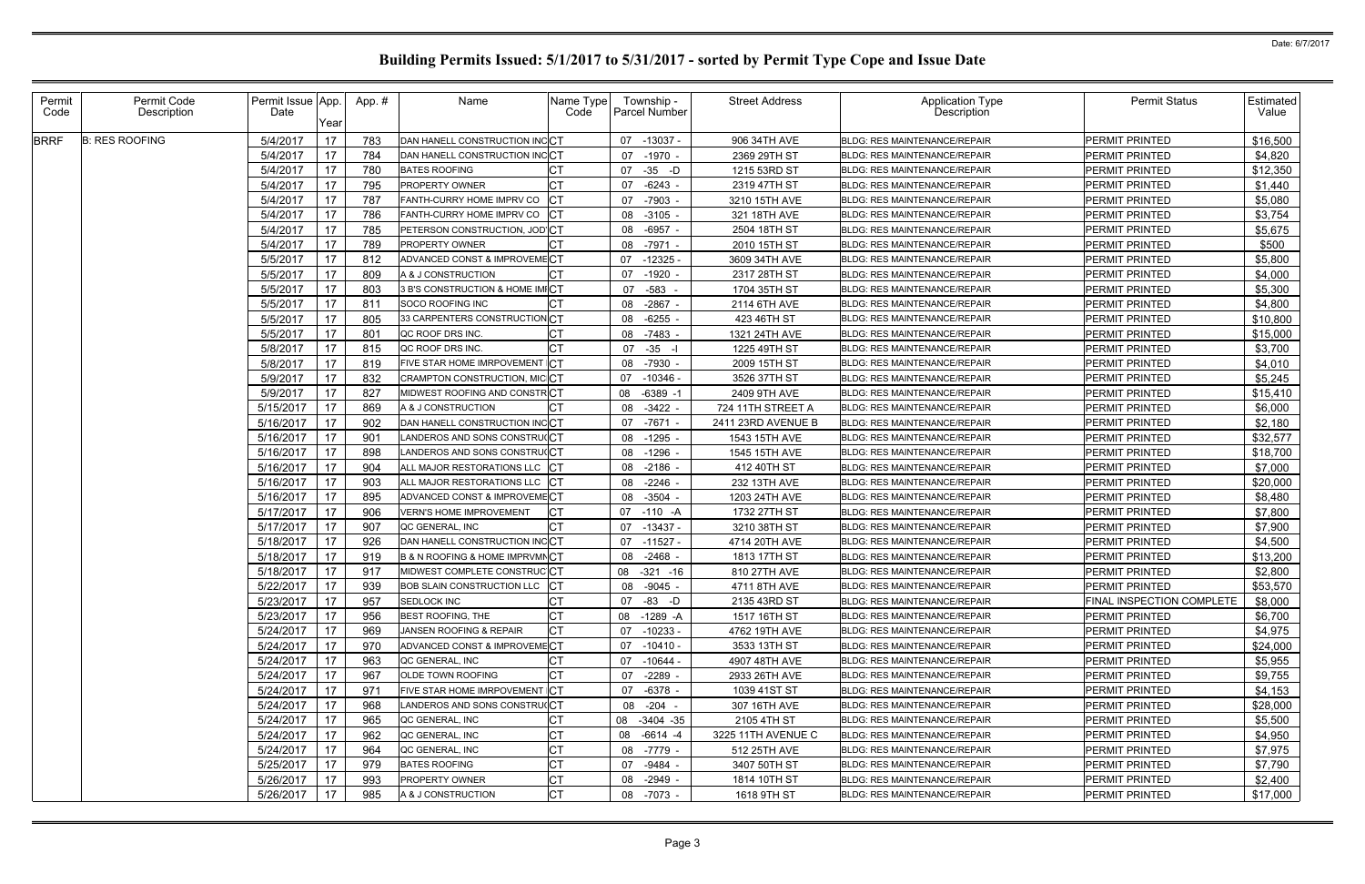| Permit<br>Code | Permit Code<br>Description | Permit Issue App.<br>Date | Year | App.# | Name                                          | Name Type<br>Code | Township -<br><b>Parcel Number</b> | <b>Street Address</b> | Application Type<br>Description     | <b>Permit Status</b>             | Estimated<br>Value |
|----------------|----------------------------|---------------------------|------|-------|-----------------------------------------------|-------------------|------------------------------------|-----------------------|-------------------------------------|----------------------------------|--------------------|
| <b>BRRF</b>    | <b>B: RES ROOFING</b>      | 5/4/2017                  | 17   | 783   | DAN HANELL CONSTRUCTION INCCT                 |                   | 07 -13037 -                        | 906 34TH AVE          | <b>BLDG: RES MAINTENANCE/REPAIR</b> | <b>PERMIT PRINTED</b>            | \$16,500           |
|                |                            | 5/4/2017                  | 17   | 784   | DAN HANELL CONSTRUCTION INCCT                 |                   | 07 -1970                           | 2369 29TH ST          | <b>BLDG: RES MAINTENANCE/REPAIR</b> | <b>PERMIT PRINTED</b>            | \$4,820            |
|                |                            | 5/4/2017                  | 17   | 780   | <b>BATES ROOFING</b>                          |                   | 07 -35 -D                          | 1215 53RD ST          | <b>BLDG: RES MAINTENANCE/REPAIR</b> | <b>PERMIT PRINTED</b>            | \$12,350           |
|                |                            | 5/4/2017                  | 17   | 795   | PROPERTY OWNER                                |                   | $-6243$<br>07                      | 2319 47TH ST          | <b>BLDG: RES MAINTENANCE/REPAIR</b> | <b>PERMIT PRINTED</b>            | \$1,440            |
|                |                            | 5/4/2017                  | 17   | 787   | FANTH-CURRY HOME IMPRV CO                     |                   | -7903<br>07                        | 3210 15TH AVE         | <b>BLDG: RES MAINTENANCE/REPAIR</b> | PERMIT PRINTED                   | \$5,080            |
|                |                            | 5/4/2017                  | 17   | 786   | FANTH-CURRY HOME IMPRV CO                     |                   | 08 -3105                           | 321 18TH AVE          | BLDG: RES MAINTENANCE/REPAIR        | PERMIT PRINTED                   | \$3,754            |
|                |                            | 5/4/2017                  | 17   | 785   | PETERSON CONSTRUCTION, JOD'CT                 |                   | 08<br>-6957                        | 2504 18TH ST          | <b>BLDG: RES MAINTENANCE/REPAIR</b> | <b>PERMIT PRINTED</b>            | \$5,675            |
|                |                            | 5/4/2017                  | 17   | 789   | PROPERTY OWNER                                |                   | -7971<br>08                        | 2010 15TH ST          | <b>BLDG: RES MAINTENANCE/REPAIR</b> | PERMIT PRINTED                   | \$500              |
|                |                            | 5/5/2017                  | 17   | 812   | ADVANCED CONST & IMPROVEMECT                  |                   | $-12325$<br>07                     | 3609 34TH AVE         | <b>BLDG: RES MAINTENANCE/REPAIR</b> | PERMIT PRINTED                   | \$5,800            |
|                |                            | 5/5/2017                  | 17   | 809   | A & J CONSTRUCTION                            |                   | 07 -1920                           | 2317 28TH ST          | BLDG: RES MAINTENANCE/REPAIR        | PERMIT PRINTED                   | \$4,000            |
|                |                            | 5/5/2017                  | 17   | 803   | 3 B'S CONSTRUCTION & HOME IMICT               |                   | 07 - 583 -                         | 1704 35TH ST          | <b>BLDG: RES MAINTENANCE/REPAIR</b> | <b>PERMIT PRINTED</b>            | \$5,300            |
|                |                            | 5/5/2017                  | 17   | 811   | SOCO ROOFING INC                              |                   | $-2867$<br>08                      | 2114 6TH AVE          | <b>BLDG: RES MAINTENANCE/REPAIR</b> | PERMIT PRINTED                   | \$4,800            |
|                |                            | 5/5/2017                  | 17   | 805   | 33 CARPENTERS CONSTRUCTIONCT                  |                   | $-6255$<br>08                      | 423 46TH ST           | <b>BLDG: RES MAINTENANCE/REPAIR</b> | <b>PERMIT PRINTED</b>            | \$10,800           |
|                |                            | 5/5/2017                  | 17   | 801   | QC ROOF DRS INC.                              |                   | 08<br>-7483                        | 1321 24TH AVE         | <b>BLDG: RES MAINTENANCE/REPAIR</b> | PERMIT PRINTED                   | \$15,000           |
|                |                            | 5/8/2017                  | 17   | 815   | QC ROOF DRS INC.                              |                   | 07 -35 -I                          | 1225 49TH ST          | <b>BLDG: RES MAINTENANCE/REPAIR</b> | <b>PERMIT PRINTED</b>            | \$3,700            |
|                |                            | 5/8/2017                  | 17   | 819   | FIVE STAR HOME IMRPOVEMENT CT                 |                   | 08<br>-7930                        | 2009 15TH ST          | <b>BLDG: RES MAINTENANCE/REPAIR</b> | PERMIT PRINTED                   | \$4,010            |
|                |                            | 5/9/2017                  | 17   | 832   | CRAMPTON CONSTRUCTION, MICCT                  |                   | $-10346$<br>07                     | 3526 37TH ST          | <b>BLDG: RES MAINTENANCE/REPAIR</b> | PERMIT PRINTED                   | \$5,245            |
|                |                            | 5/9/2017                  | 17   | 827   | MIDWEST ROOFING AND CONSTRICT                 |                   | $-6389 - 2$<br>08                  | 2409 9TH AVE          | <b>BLDG: RES MAINTENANCE/REPAIR</b> | PERMIT PRINTED                   | \$15,410           |
|                |                            | 5/15/2017                 | 17   | 869   | A & J CONSTRUCTION                            |                   | 08 -3422                           | 724 11TH STREET A     | <b>BLDG: RES MAINTENANCE/REPAIR</b> | <b>PERMIT PRINTED</b>            | \$6,000            |
|                |                            | 5/16/2017                 | 17   | 902   | DAN HANELL CONSTRUCTION INCCT                 |                   | -7671<br>07                        | 2411 23RD AVENUE B    | <b>BLDG: RES MAINTENANCE/REPAIR</b> | <b>PERMIT PRINTED</b>            | \$2,180            |
|                |                            | 5/16/2017                 | 17   | 901   | LANDEROS AND SONS CONSTRUICT                  |                   | 08 -1295                           | 1543 15TH AVE         | <b>BLDG: RES MAINTENANCE/REPAIR</b> | PERMIT PRINTED                   | \$32,577           |
|                |                            | 5/16/2017                 | 17   | 898   | LANDEROS AND SONS CONSTRU(CT                  |                   | $-1296$<br>08                      | 1545 15TH AVE         | <b>BLDG: RES MAINTENANCE/REPAIR</b> | PERMIT PRINTED                   | \$18,700           |
|                |                            | 5/16/2017                 | 17   | 904   | ALL MAJOR RESTORATIONS LLC CT                 |                   | 08<br>-2186                        | 412 40TH ST           | <b>BLDG: RES MAINTENANCE/REPAIR</b> | PERMIT PRINTED                   | \$7,000            |
|                |                            | 5/16/2017                 | 17   | 903   | ALL MAJOR RESTORATIONS LLC CT                 |                   | 08 -2246                           | 232 13TH AVE          | <b>BLDG: RES MAINTENANCE/REPAIR</b> | <b>PERMIT PRINTED</b>            | \$20,000           |
|                |                            | 5/16/2017                 | 17   | 895   | ADVANCED CONST & IMPROVEMECT                  |                   | 08<br>-3504                        | 1203 24TH AVE         | <b>BLDG: RES MAINTENANCE/REPAIR</b> | <b>PERMIT PRINTED</b>            | \$8,480            |
|                |                            | 5/17/2017                 | 17   | 906   | <b>VERN'S HOME IMPROVEMENT</b>                |                   | 07 -110 -A                         | 1732 27TH ST          | <b>BLDG: RES MAINTENANCE/REPAIR</b> | PERMIT PRINTED                   | \$7,800            |
|                |                            | 5/17/2017                 | 17   | 907   | QC GENERAL, INC                               |                   | 07 -13437 -                        | 3210 38TH ST          | <b>BLDG: RES MAINTENANCE/REPAIR</b> | PERMIT PRINTED                   | \$7,900            |
|                |                            | 5/18/2017                 | 17   | 926   | DAN HANELL CONSTRUCTION INCCT                 |                   | 07 -11527 -                        | 4714 20TH AVE         | <b>BLDG: RES MAINTENANCE/REPAIR</b> | PERMIT PRINTED                   | \$4,500            |
|                |                            | 5/18/2017                 | 17   | 919   | <b>B &amp; N ROOFING &amp; HOME IMPRVMNCT</b> |                   | 08 -2468                           | 1813 17TH ST          | BLDG: RES MAINTENANCE/REPAIR        | PERMIT PRINTED                   | \$13,200           |
|                |                            | 5/18/2017                 | 17   | 917   | MIDWEST COMPLETE CONSTRUCT                    |                   | 08 -321 -16                        | 810 27TH AVE          | <b>BLDG: RES MAINTENANCE/REPAIR</b> | PERMIT PRINTED                   | \$2,800            |
|                |                            | 5/22/2017 17              |      | 939   | BOB SLAIN CONSTRUCTION LLC CT                 |                   | 08 -9045 -                         | 4711 8TH AVE          | BLDG: RES MAINTENANCE/REPAIR        | PERMIT PRINTED                   | \$53,570           |
|                |                            | 5/23/2017                 | 17   | 957   | <b>SEDLOCK INC</b>                            | IСТ               | 07 -83 -D                          | 2135 43RD ST          | <b>BLDG: RES MAINTENANCE/REPAIR</b> | <b>FINAL INSPECTION COMPLETE</b> | \$8,000            |
|                |                            | 5/23/2017                 | 17   | 956   | <b>BEST ROOFING, THE</b>                      | IСТ               | 08 -1289 -A                        | 1517 16TH ST          | <b>BLDG: RES MAINTENANCE/REPAIR</b> | <b>PERMIT PRINTED</b>            | \$6,700            |
|                |                            | 5/24/2017                 | 17   | 969   | JANSEN ROOFING & REPAIR                       | <b>CT</b>         | 07 -10233 -                        | 4762 19TH AVE         | <b>BLDG: RES MAINTENANCE/REPAIR</b> | <b>PERMIT PRINTED</b>            | \$4,975            |
|                |                            | 5/24/2017                 | 17   | 970   | ADVANCED CONST & IMPROVEMECT                  |                   | 07 -10410 -                        | 3533 13TH ST          | <b>BLDG: RES MAINTENANCE/REPAIR</b> | <b>PERMIT PRINTED</b>            | \$24,000           |
|                |                            | 5/24/2017                 | 17   | 963   | QC GENERAL, INC                               |                   | 07 -10644 -                        | 4907 48TH AVE         | <b>BLDG: RES MAINTENANCE/REPAIR</b> | <b>PERMIT PRINTED</b>            | \$5,955            |
|                |                            | 5/24/2017                 | 17   | 967   | OLDE TOWN ROOFING                             | IСТ               | 07 -2289                           | 2933 26TH AVE         | BLDG: RES MAINTENANCE/REPAIR        | <b>PERMIT PRINTED</b>            | \$9,755            |
|                |                            | 5/24/2017                 | 17   | 971   | FIVE STAR HOME IMRPOVEMENT CT                 |                   | 07 -6378 -                         | 1039 41ST ST          | BLDG: RES MAINTENANCE/REPAIR        | PERMIT PRINTED                   | \$4,153            |
|                |                            | 5/24/2017                 | 17   | 968   | LANDEROS AND SONS CONSTRU(CT                  |                   | 08 -204 -                          | 307 16TH AVE          | <b>BLDG: RES MAINTENANCE/REPAIR</b> | <b>PERMIT PRINTED</b>            | \$28,000           |
|                |                            | 5/24/2017                 | 17   | 965   | QC GENERAL, INC                               | <b>CT</b>         | 08 -3404 -35                       | 2105 4TH ST           | <b>BLDG: RES MAINTENANCE/REPAIR</b> | PERMIT PRINTED                   | \$5,500            |
|                |                            | 5/24/2017                 | 17   | 962   | QC GENERAL, INC                               | <b>CT</b>         | 08 -6614 -4                        | 3225 11TH AVENUE C    | <b>BLDG: RES MAINTENANCE/REPAIR</b> | <b>PERMIT PRINTED</b>            | \$4,950            |
|                |                            | 5/24/2017                 | 17   | 964   | QC GENERAL, INC                               | <b>CT</b>         | 08 -7779 -                         | 512 25TH AVE          | <b>BLDG: RES MAINTENANCE/REPAIR</b> | PERMIT PRINTED                   | \$7,975            |
|                |                            | 5/25/2017                 | 17   | 979   | <b>BATES ROOFING</b>                          | <b>CT</b>         | -9484<br>07                        | 3407 50TH ST          | <b>BLDG: RES MAINTENANCE/REPAIR</b> | <b>PERMIT PRINTED</b>            | \$7,790            |
|                |                            | 5/26/2017                 | 17   | 993   | <b>PROPERTY OWNER</b>                         | IСТ               | 08 -2949 -                         | 1814 10TH ST          | <b>BLDG: RES MAINTENANCE/REPAIR</b> | <b>PERMIT PRINTED</b>            | \$2,400            |
|                |                            | 5/26/2017                 | 17   | 985   | A & J CONSTRUCTION                            | <b>CT</b>         | 08 -7073 -                         | 1618 9TH ST           | <b>BLDG: RES MAINTENANCE/REPAIR</b> | PERMIT PRINTED                   | \$17,000           |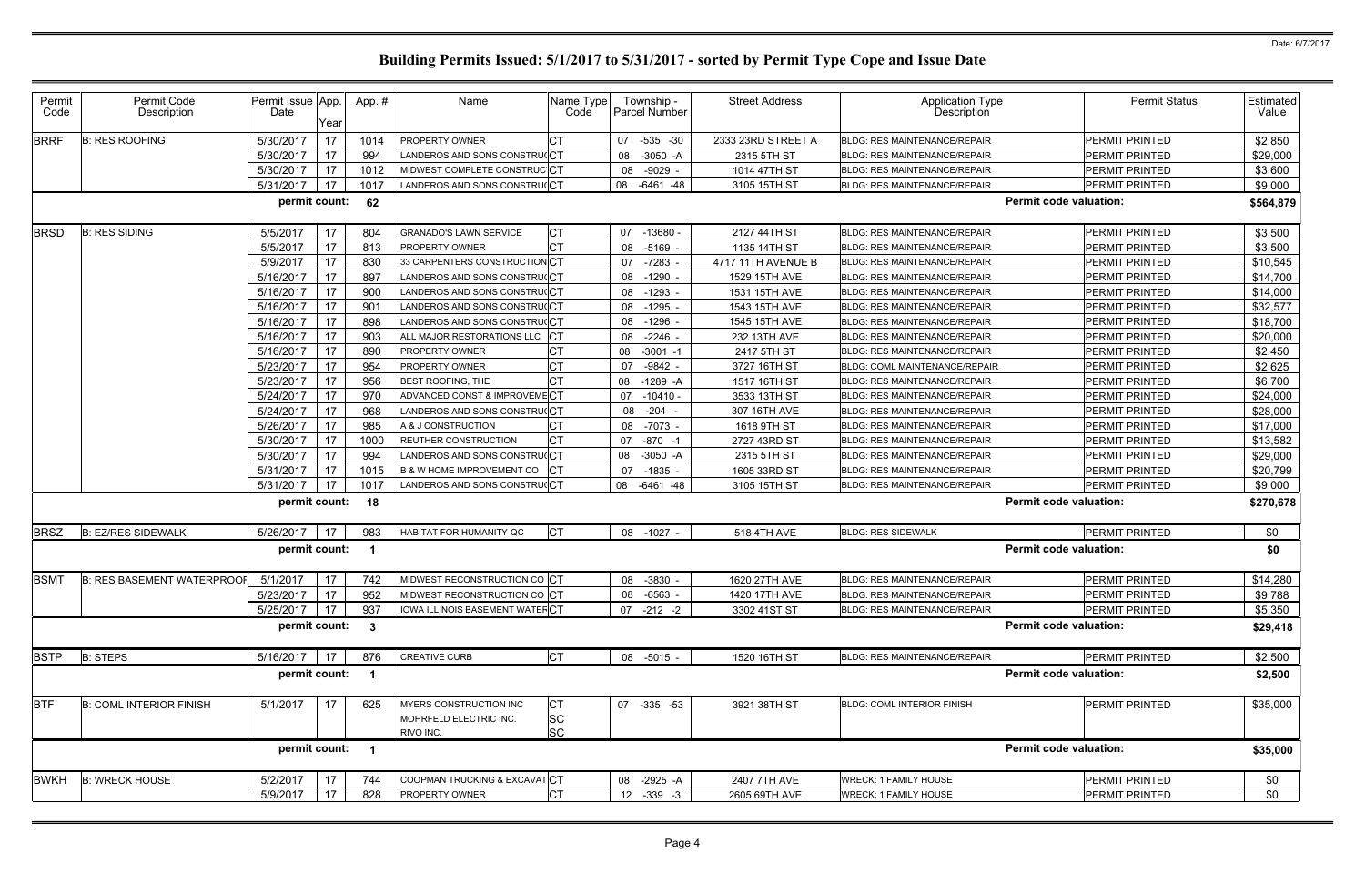| Permit<br>Code | Permit Code<br>Description        | Permit Issue App.<br>Date | Year | App.#          | Name                                                          | Name Type<br>Code             | Township -<br>Parcel Number | <b>Street Address</b> | <b>Application Type</b><br><b>Description</b> | <b>Permit Status</b>          | Estimated<br>Value |
|----------------|-----------------------------------|---------------------------|------|----------------|---------------------------------------------------------------|-------------------------------|-----------------------------|-----------------------|-----------------------------------------------|-------------------------------|--------------------|
| <b>BRRF</b>    | <b>B: RES ROOFING</b>             | 5/30/2017                 | 17   | 1014           | PROPERTY OWNER                                                |                               | 07<br>$-535 - 30$           | 2333 23RD STREET A    | BLDG: RES MAINTENANCE/REPAIR                  | PERMIT PRINTED                | \$2,850            |
|                |                                   | 5/30/2017                 | 17   | 994            | ANDEROS AND SONS CONSTRU(CT                                   |                               | $-3050 - A$<br>08           | 2315 5TH ST           | <b>BLDG: RES MAINTENANCE/REPAIR</b>           | PERMIT PRINTED                | \$29,000           |
|                |                                   | 5/30/2017                 | 17   | 1012           | MIDWEST COMPLETE CONSTRUCICT                                  |                               | 08 -9029                    | 1014 47TH ST          | <b>BLDG: RES MAINTENANCE/REPAIR</b>           | PERMIT PRINTED                | \$3,600            |
|                |                                   | 5/31/2017                 | 17   | 1017           | ANDEROS AND SONS CONSTRU(CT                                   |                               | 08 -6461 -48                | 3105 15TH ST          | <b>BLDG: RES MAINTENANCE/REPAIR</b>           | PERMIT PRINTED                | \$9,000            |
|                |                                   | permit count:             |      | 62             |                                                               |                               |                             |                       |                                               | <b>Permit code valuation:</b> | \$564,879          |
| <b>BRSD</b>    | <b>B: RES SIDING</b>              | 5/5/2017                  | 17   | 804            | GRANADO'S LAWN SERVICE                                        |                               | 07 -13680                   | 2127 44TH ST          | <b>BLDG: RES MAINTENANCE/REPAIR</b>           | PERMIT PRINTED                | \$3,500            |
|                |                                   | 5/5/2017                  | 17   | 813            | PROPERTY OWNER                                                |                               | 08 -5169                    | 1135 14TH ST          | BLDG: RES MAINTENANCE/REPAIR                  | <b>PERMIT PRINTED</b>         | \$3,500            |
|                |                                   | 5/9/2017                  | 17   | 830            | 33 CARPENTERS CONSTRUCTIONCT                                  |                               | 07 -7283                    | 4717 11TH AVENUE B    | <b>BLDG: RES MAINTENANCE/REPAIR</b>           | <b>PERMIT PRINTED</b>         | \$10,545           |
|                |                                   | 5/16/2017                 | 17   | 897            | ANDEROS AND SONS CONSTRU(CT                                   |                               | 08 -1290                    | 1529 15TH AVE         | <b>BLDG: RES MAINTENANCE/REPAIR</b>           | <b>PERMIT PRINTED</b>         | \$14,700           |
|                |                                   | 5/16/2017                 | 17   | 900            | ANDEROS AND SONS CONSTRU(CT                                   |                               | 08 -1293                    | 1531 15TH AVE         | <b>BLDG: RES MAINTENANCE/REPAIR</b>           | PERMIT PRINTED                | \$14,000           |
|                |                                   | 5/16/2017                 | 17   | 901            | ANDEROS AND SONS CONSTRU(CT                                   |                               | 08 -1295                    | 1543 15TH AVE         | <b>BLDG: RES MAINTENANCE/REPAIR</b>           | <b>PERMIT PRINTED</b>         | \$32,577           |
|                |                                   | 5/16/2017                 | 17   | 898            | ANDEROS AND SONS CONSTRU(CT                                   |                               | 08 -1296                    | 1545 15TH AVE         | <b>BLDG: RES MAINTENANCE/REPAIR</b>           | <b>PERMIT PRINTED</b>         | \$18,700           |
|                |                                   | 5/16/2017                 | 17   | 903            | ALL MAJOR RESTORATIONS LLC CT                                 |                               | 08 -2246                    | 232 13TH AVE          | <b>BLDG: RES MAINTENANCE/REPAIR</b>           | PERMIT PRINTED                | \$20,000           |
|                |                                   | 5/16/2017                 | 17   | 890            | PROPERTY OWNER                                                |                               | 08 -3001 -1                 | 2417 5TH ST           | <b>BLDG: RES MAINTENANCE/REPAIR</b>           | PERMIT PRINTED                | \$2,450            |
|                |                                   | 5/23/2017                 | 17   | 954            | PROPERTY OWNER                                                |                               | 07 -9842 -                  | 3727 16TH ST          | <b>BLDG: COML MAINTENANCE/REPAIR</b>          | PERMIT PRINTED                | \$2,625            |
|                |                                   | 5/23/2017                 | 17   | 956            | BEST ROOFING, THE                                             |                               | 08 -1289 -A                 | 1517 16TH ST          | <b>BLDG: RES MAINTENANCE/REPAIR</b>           | PERMIT PRINTED                | \$6,700            |
|                |                                   | 5/24/2017                 | 17   | 970            | ADVANCED CONST & IMPROVEMECT                                  |                               | $07 - 10410$                | 3533 13TH ST          | <b>BLDG: RES MAINTENANCE/REPAIR</b>           | PERMIT PRINTED                | \$24,000           |
|                |                                   | 5/24/2017                 | 17   | 968            | ANDEROS AND SONS CONSTRU(CT                                   |                               | 08 -204                     | 307 16TH AVE          | <b>BLDG: RES MAINTENANCE/REPAIR</b>           | PERMIT PRINTED                | \$28,000           |
|                |                                   | 5/26/2017                 | 17   | 985            | A & J CONSTRUCTION                                            |                               | 08 -7073                    | 1618 9TH ST           | BLDG: RES MAINTENANCE/REPAIR                  | PERMIT PRINTED                | \$17,000           |
|                |                                   | 5/30/2017                 | 17   | 1000           | REUTHER CONSTRUCTION                                          | СT                            | 07 -870 -1                  | 2727 43RD ST          | <b>BLDG: RES MAINTENANCE/REPAIR</b>           | PERMIT PRINTED                | \$13,582           |
|                |                                   | 5/30/2017                 | 17   | 994            | ANDEROS AND SONS CONSTRU(CT                                   |                               | 08 -3050 -A                 | 2315 5TH ST           | <b>BLDG: RES MAINTENANCE/REPAIR</b>           | PERMIT PRINTED                | \$29,000           |
|                |                                   | 5/31/2017                 | 17   | 1015           | B & W HOME IMPROVEMENT CO                                     |                               | 07 -1835 -                  | 1605 33RD ST          | <b>BLDG: RES MAINTENANCE/REPAIR</b>           | PERMIT PRINTED                | \$20,799           |
|                |                                   | 5/31/2017                 | 17   | 1017           | LANDEROS AND SONS CONSTRU(CT                                  |                               | 08 -6461 -48                | 3105 15TH ST          | <b>BLDG: RES MAINTENANCE/REPAIR</b>           | PERMIT PRINTED                | \$9,000            |
|                |                                   | permit count:             |      | 18             |                                                               |                               |                             |                       |                                               | <b>Permit code valuation:</b> | \$270,678          |
| <b>BRSZ</b>    | <b>B: EZ/RES SIDEWALK</b>         | 5/26/2017                 | 17   | 983            | HABITAT FOR HUMANITY-QC                                       | <b>I</b> CT                   | 08 -1027 -                  | 518 4TH AVE           | <b>BLDG: RES SIDEWALK</b>                     | PERMIT PRINTED                | \$0                |
|                |                                   | permit count:             |      |                |                                                               |                               |                             |                       |                                               | <b>Permit code valuation:</b> | \$0                |
| <b>BSMT</b>    | <b>B: RES BASEMENT WATERPROOF</b> | 5/1/2017                  | 17   | 742            | MIDWEST RECONSTRUCTION CO CT                                  |                               | 08 -3830 -                  | 1620 27TH AVE         | BLDG: RES MAINTENANCE/REPAIR                  | <b>PERMIT PRINTED</b>         | \$14,280           |
|                |                                   | 5/23/2017 17              |      | 952            | MIDWEST RECONSTRUCTION CO CT                                  |                               | 08 -6563 -                  | 1420 17TH AVE         | <b>BLDG: RES MAINTENANCE/REPAIR</b>           | <b>PERMIT PRINTED</b>         | \$9,788            |
|                |                                   | 5/25/2017                 | 17   | 937            | <b>IOWA ILLINOIS BASEMENT WATER CT</b>                        |                               | $07 - 212 - 2$              | 3302 41ST ST          | BLDG: RES MAINTENANCE/REPAIR                  | PERMIT PRINTED                | \$5,350            |
|                |                                   | permit count: 3           |      |                |                                                               |                               |                             |                       |                                               | <b>Permit code valuation:</b> | \$29,418           |
| <b>BSTP</b>    | <b>B: STEPS</b>                   | 5/16/2017                 | 17   | 876            | <b>CREATIVE CURB</b>                                          | <b>CT</b>                     | 08 -5015 -                  | 1520 16TH ST          | BLDG: RES MAINTENANCE/REPAIR                  | <b>PERMIT PRINTED</b>         | \$2,500            |
|                |                                   | permit count:             |      | $\overline{1}$ |                                                               |                               |                             |                       |                                               | <b>Permit code valuation:</b> | \$2,500            |
| <b>BTF</b>     | <b>B: COML INTERIOR FINISH</b>    | 5/1/2017                  | 17   | 625            | MYERS CONSTRUCTION INC<br>MOHRFELD ELECTRIC INC.<br>RIVO INC. | IСТ<br><b>SC</b><br><b>SC</b> | 07 -335 -53                 | 3921 38TH ST          | <b>BLDG: COML INTERIOR FINISH</b>             | <b>PERMIT PRINTED</b>         | \$35,000           |
|                |                                   | permit count:             |      | $\overline{1}$ |                                                               |                               |                             |                       |                                               | <b>Permit code valuation:</b> | \$35,000           |
| <b>BWKH</b>    | <b>B: WRECK HOUSE</b>             | 5/2/2017                  | 17   | 744            | COOPMAN TRUCKING & EXCAVATCT                                  |                               | 08 -2925 -A                 | 2407 7TH AVE          | <b>WRECK: 1 FAMILY HOUSE</b>                  | <b>PERMIT PRINTED</b>         | \$0                |
|                |                                   | 5/9/2017                  | 17   | 828            | PROPERTY OWNER                                                |                               | 12 -339 -3                  | 2605 69TH AVE         | <b>WRECK: 1 FAMILY HOUSE</b>                  | <b>PERMIT PRINTED</b>         | \$0                |
|                |                                   |                           |      |                |                                                               |                               |                             |                       |                                               |                               |                    |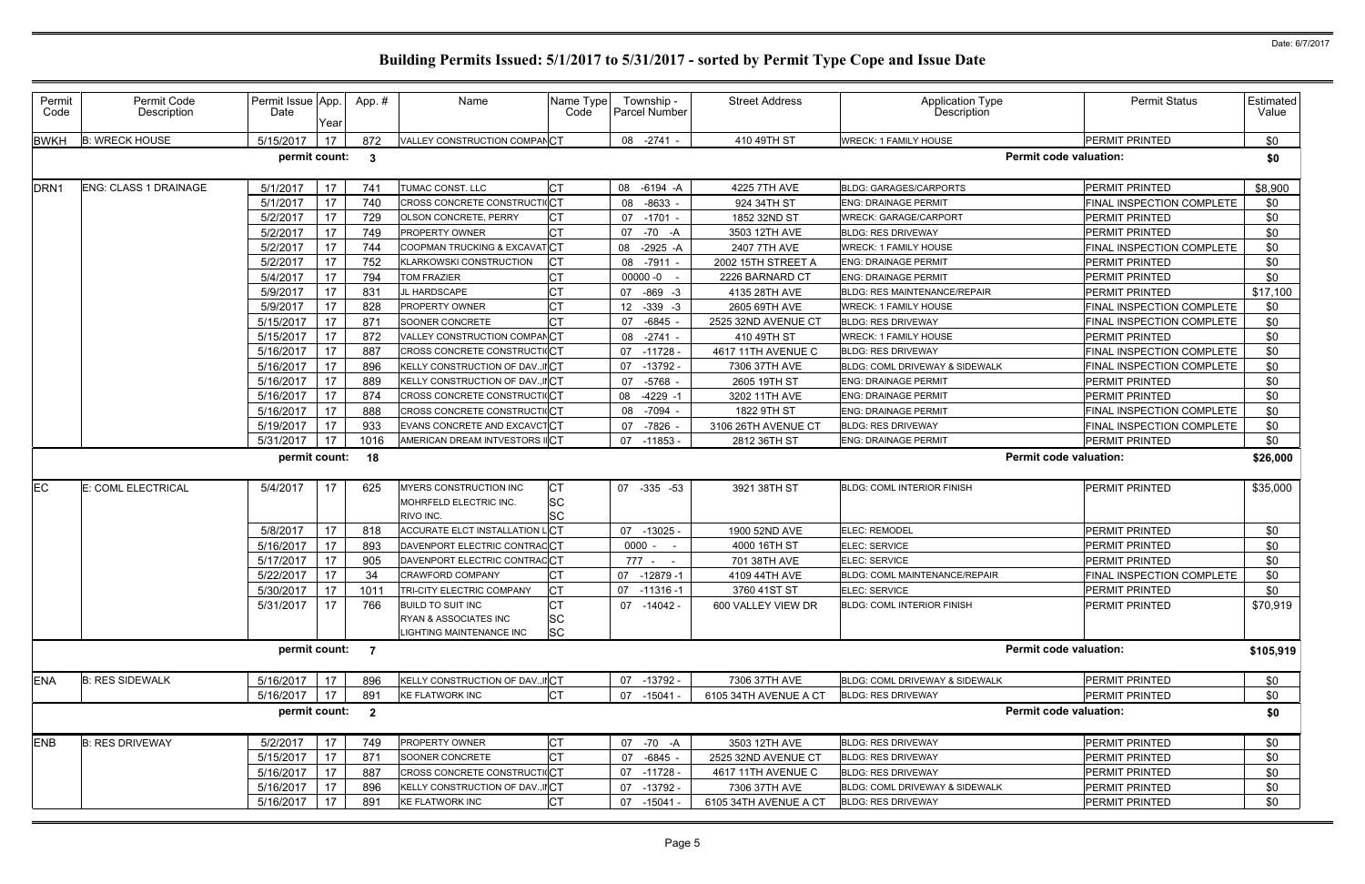| Permit<br>Code   | Permit Code<br>Description | Permit Issue App.<br>Date | Year        | App.# | Name                                                                          | Name Type<br>Code            | Township -<br><b>Parcel Number</b> | <b>Street Address</b> | Application Type<br>Description      | <b>Permit Status</b>          | Estimated<br>Value |
|------------------|----------------------------|---------------------------|-------------|-------|-------------------------------------------------------------------------------|------------------------------|------------------------------------|-----------------------|--------------------------------------|-------------------------------|--------------------|
| <b>BWKH</b>      | <b>B: WRECK HOUSE</b>      | 5/15/2017                 | 17          | 872   | VALLEY CONSTRUCTION COMPANCT                                                  |                              | 08 -2741                           | 410 49TH ST           | <b>WRECK: 1 FAMILY HOUSE</b>         | PERMIT PRINTED                | \$0                |
|                  |                            | permit count:             |             | - 3   |                                                                               |                              |                                    |                       |                                      | <b>Permit code valuation:</b> | \$0                |
| DRN <sub>1</sub> | ENG: CLASS 1 DRAINAGE      | 5/1/2017                  | 17          | 741   | TUMAC CONST. LLC                                                              | IСТ                          | 08 -6194 -A                        | 4225 7TH AVE          | <b>BLDG: GARAGES/CARPORTS</b>        | <b>PERMIT PRINTED</b>         | \$8,900            |
|                  |                            | 5/1/2017                  | 17          | 740   | CROSS CONCRETE CONSTRUCTICT                                                   |                              | 08 -8633                           | 924 34TH ST           | <b>ENG: DRAINAGE PERMIT</b>          | FINAL INSPECTION COMPLETE     | \$0                |
|                  |                            | 5/2/2017                  | 17          | 729   | OLSON CONCRETE, PERRY                                                         |                              | 07 -1701                           | 1852 32ND ST          | <b>WRECK: GARAGE/CARPORT</b>         | PERMIT PRINTED                | \$0                |
|                  |                            | 5/2/2017                  | 17          | 749   | <b>PROPERTY OWNER</b>                                                         |                              | 07 -70 -A                          | 3503 12TH AVE         | <b>BLDG: RES DRIVEWAY</b>            | PERMIT PRINTED                | \$0                |
|                  |                            | 5/2/2017                  | 17          | 744   | COOPMAN TRUCKING & EXCAVATCT                                                  |                              | 08 -2925 -A                        | 2407 7TH AVE          | <b>WRECK: 1 FAMILY HOUSE</b>         | FINAL INSPECTION COMPLETE     | \$0                |
|                  |                            | 5/2/2017                  | 17          | 752   | KLARKOWSKI CONSTRUCTION                                                       | Iст                          | 08 -7911                           | 2002 15TH STREET A    | <b>ENG: DRAINAGE PERMIT</b>          | PERMIT PRINTED                | \$0                |
|                  |                            | 5/4/2017                  | 17          | 794   | TOM FRAZIER                                                                   |                              | 00000 -0                           | 2226 BARNARD CT       | <b>ENG: DRAINAGE PERMIT</b>          | PERMIT PRINTED                | \$0                |
|                  |                            | 5/9/2017                  | 17          | 831   | JL HARDSCAPE                                                                  |                              | 07 -869 -3                         | 4135 28TH AVE         | <b>BLDG: RES MAINTENANCE/REPAIR</b>  | PERMIT PRINTED                | \$17,100           |
|                  |                            | 5/9/2017                  | 17          | 828   | <b>PROPERTY OWNER</b>                                                         |                              | 12 -339 -3                         | 2605 69TH AVE         | <b>WRECK: 1 FAMILY HOUSE</b>         | FINAL INSPECTION COMPLETE     | \$0                |
|                  |                            | 5/15/2017                 | 17          | 871   | SOONER CONCRETE                                                               |                              | 07 -6845                           | 2525 32ND AVENUE CT   | <b>BLDG: RES DRIVEWAY</b>            | FINAL INSPECTION COMPLETE     | \$0                |
|                  |                            | 5/15/2017                 | 17          | 872   | VALLEY CONSTRUCTION COMPANCT                                                  |                              | 08 -2741                           | 410 49TH ST           | <b>WRECK: 1 FAMILY HOUSE</b>         | <b>PERMIT PRINTED</b>         | \$0                |
|                  |                            | 5/16/2017                 | 17          | 887   | CROSS CONCRETE CONSTRUCTIOCT                                                  |                              | 07 -11728                          | 4617 11TH AVENUE C    | <b>BLDG: RES DRIVEWAY</b>            | FINAL INSPECTION COMPLETE     | \$0                |
|                  |                            | 5/16/2017                 | 17          | 896   | KELLY CONSTRUCTION OF DAV., IICT                                              |                              | 07 -13792 -                        | 7306 37TH AVE         | BLDG: COML DRIVEWAY & SIDEWALK       | FINAL INSPECTION COMPLETE     | \$0                |
|                  |                            | 5/16/2017                 | 17          | 889   | KELLY CONSTRUCTION OF DAV., IICT                                              |                              | 07 -5768                           | 2605 19TH ST          | <b>ENG: DRAINAGE PERMIT</b>          | PERMIT PRINTED                | \$0                |
|                  |                            | 5/16/2017                 | -17         | 874   | <b>CROSS CONCRETE CONSTRUCTICT</b>                                            |                              | 08 -4229 -1                        | 3202 11TH AVE         | <b>ENG: DRAINAGE PERMIT</b>          | PERMIT PRINTED                | \$0                |
|                  |                            | 5/16/2017                 | 17          | 888   | CROSS CONCRETE CONSTRUCTIOCT                                                  |                              | 08 -7094                           | 1822 9TH ST           | <b>ENG: DRAINAGE PERMIT</b>          | FINAL INSPECTION COMPLETE     | \$0                |
|                  |                            | 5/19/2017                 | -17         | 933   | EVANS CONCRETE AND EXCAVCTCT                                                  |                              | 07 -7826                           | 3106 26TH AVENUE CT   | <b>BLDG: RES DRIVEWAY</b>            | FINAL INSPECTION COMPLETE     | \$0                |
|                  |                            | 5/31/2017                 | 17          | 1016  | AMERICAN DREAM INTVESTORS IICT                                                |                              | 07 -11853 -                        | 2812 36TH ST          | <b>ENG: DRAINAGE PERMIT</b>          | PERMIT PRINTED                | \$0                |
|                  |                            | permit count: 18          |             |       |                                                                               |                              |                                    |                       |                                      | <b>Permit code valuation:</b> | \$26,000           |
| <b>IEC</b>       | E: COML ELECTRICAL         | 5/4/2017                  | 17          | 625   | MYERS CONSTRUCTION INC<br>MOHRFELD ELECTRIC INC.<br>RIVO INC.                 | <b>CT</b><br><b>SC</b><br>SC | 07 -335 -53                        | 3921 38TH ST          | <b>BLDG: COML INTERIOR FINISH</b>    | <b>PERMIT PRINTED</b>         | \$35,000           |
|                  |                            | 5/8/2017                  | 17          | 818   | ACCURATE ELCT INSTALLATION LCT                                                |                              | 07 -13025 -                        | 1900 52ND AVE         | ELEC: REMODEL                        | PERMIT PRINTED                | \$0                |
|                  |                            | 5/16/2017                 | 17          | 893   | DAVENPORT ELECTRIC CONTRACCT                                                  |                              | $0000 - -$                         | 4000 16TH ST          | ELEC: SERVICE                        | PERMIT PRINTED                | \$0                |
|                  |                            | 5/17/2017                 | 17          | 905   | DAVENPORT ELECTRIC CONTRACCT                                                  |                              | 777 - -                            | 701 38TH AVE          | <b>ELEC: SERVICE</b>                 | PERMIT PRINTED                | \$0                |
|                  |                            | 5/22/2017                 | 17          | 34    | <b>CRAWFORD COMPANY</b>                                                       |                              | 07 -12879 -1                       | 4109 44TH AVE         | <b>BLDG: COML MAINTENANCE/REPAIR</b> | FINAL INSPECTION COMPLETE     | \$0                |
|                  |                            | 5/30/2017 17              |             | 1011  | TRI-CITY ELECTRIC COMPANY                                                     | <b>CT</b>                    | 07 -11316 -1                       | 3760 41ST ST          | ELEC: SERVICE                        | PERMIT PRINTED                | \$0                |
|                  |                            | 5/31/2017                 | 17          | 766   | <b>BUILD TO SUIT INC</b><br>RYAN & ASSOCIATES INC<br>LIGHTING MAINTENANCE INC | SC<br><b>SC</b>              | 07 -14042 -                        | 600 VALLEY VIEW DR    | <b>BLDG: COML INTERIOR FINISH</b>    | PERMIT PRINTED                | \$70,919           |
|                  |                            | permit count: 7           |             |       |                                                                               |                              |                                    |                       |                                      | <b>Permit code valuation:</b> | \$105,919          |
| <b>ENA</b>       | <b>B: RES SIDEWALK</b>     | 5/16/2017                 | $\sqrt{17}$ | 896   | KELLY CONSTRUCTION OF DAV., IICT                                              |                              | 07 -13792 -                        | 7306 37TH AVE         | BLDG: COML DRIVEWAY & SIDEWALK       | PERMIT PRINTED                | \$0                |
|                  |                            | 5/16/2017                 | $\vert$ 17  | 891   | <b>KE FLATWORK INC</b>                                                        | <b>CT</b>                    | 07 -15041 -                        | 6105 34TH AVENUE A CT | <b>BLDG: RES DRIVEWAY</b>            | PERMIT PRINTED                | \$0                |
|                  |                            | permit count: 2           |             |       |                                                                               |                              |                                    |                       |                                      | <b>Permit code valuation:</b> | \$0                |
| <b>ENB</b>       | <b>B: RES DRIVEWAY</b>     | 5/2/2017                  | 17          | 749   | PROPERTY OWNER                                                                | IСТ                          | 07 -70 -A                          | 3503 12TH AVE         | <b>BLDG: RES DRIVEWAY</b>            | PERMIT PRINTED                | \$0                |
|                  |                            | 5/15/2017                 | 17          | 871   | SOONER CONCRETE                                                               | <b>CT</b>                    | 07 -6845 -                         | 2525 32ND AVENUE CT   | <b>BLDG: RES DRIVEWAY</b>            | PERMIT PRINTED                | \$0                |
|                  |                            | 5/16/2017                 | 17          | 887   | CROSS CONCRETE CONSTRUCTICT                                                   |                              | 07 -11728 -                        | 4617 11TH AVENUE C    | <b>BLDG: RES DRIVEWAY</b>            | PERMIT PRINTED                | \$0                |
|                  |                            | 5/16/2017                 | 17          | 896   | KELLY CONSTRUCTION OF DAV., IICT                                              |                              | 07 -13792 -                        | 7306 37TH AVE         | BLDG: COML DRIVEWAY & SIDEWALK       | PERMIT PRINTED                | \$0                |
|                  |                            | 5/16/2017                 | 17          | 891   | <b>KE FLATWORK INC</b>                                                        | IСТ                          | $07 - 15041$                       | 6105 34TH AVENUE A CT | <b>BLDG: RES DRIVEWAY</b>            | PERMIT PRINTED                | \$0                |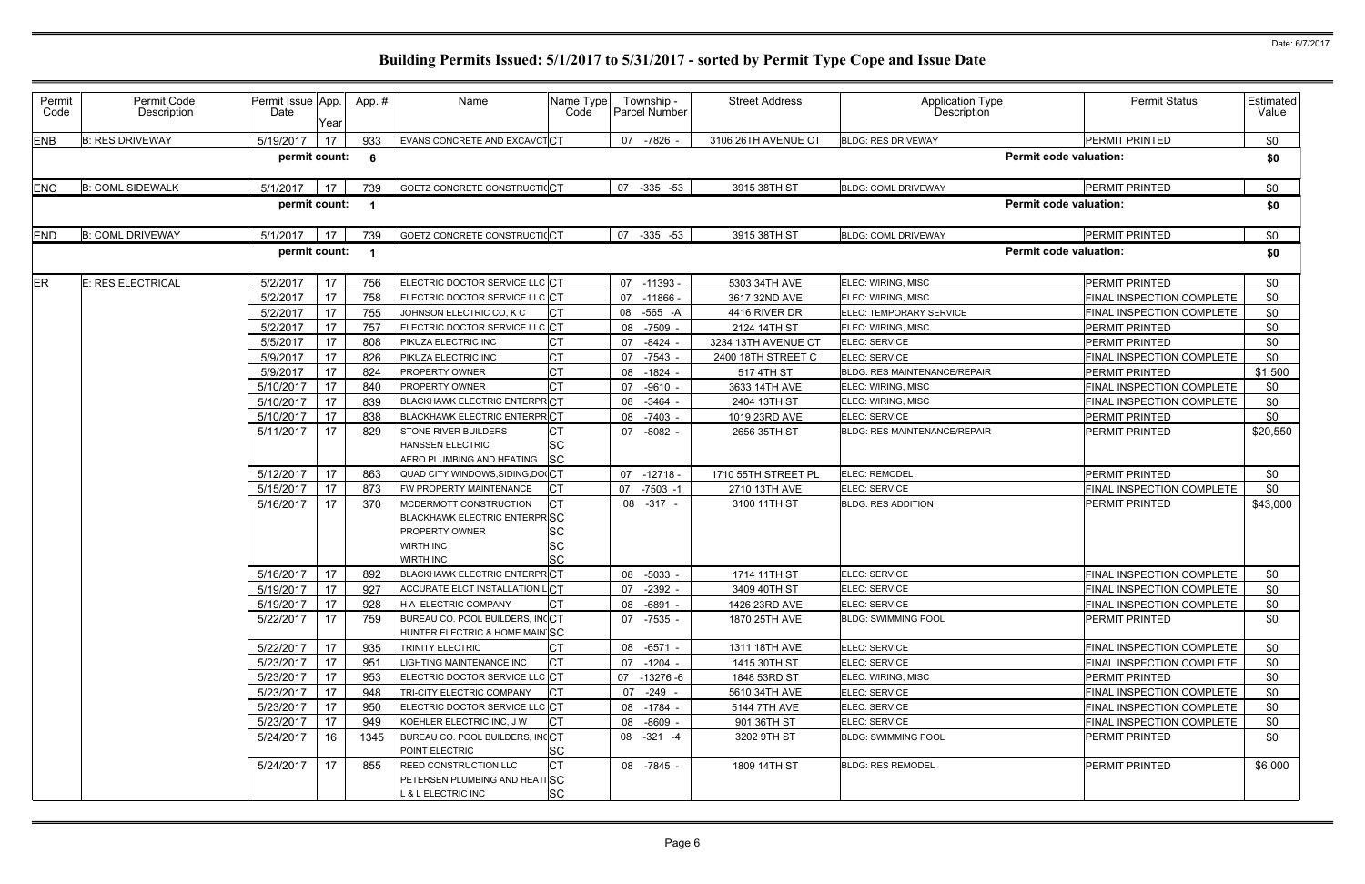| Permit<br>Code | Permit Code<br>Description | Permit Issue App.<br>Date | Year | App.# | Name                                                                                                                            | Name Type<br>Code      | Township -<br>Parcel Number | <b>Street Address</b> | <b>Application Type</b><br><b>Description</b> | <b>Permit Status</b>             | Estimated<br>Value |
|----------------|----------------------------|---------------------------|------|-------|---------------------------------------------------------------------------------------------------------------------------------|------------------------|-----------------------------|-----------------------|-----------------------------------------------|----------------------------------|--------------------|
| <b>ENB</b>     | <b>B: RES DRIVEWAY</b>     | 5/19/2017                 | 17   | 933   | EVANS CONCRETE AND EXCAVCTCT                                                                                                    |                        | 07 -7826                    | 3106 26TH AVENUE CT   | <b>BLDG: RES DRIVEWAY</b>                     | <b>PERMIT PRINTED</b>            | \$0                |
|                |                            | permit count:             |      | - 6   |                                                                                                                                 |                        |                             |                       |                                               | <b>Permit code valuation:</b>    | \$0                |
| <b>ENC</b>     | <b>B: COML SIDEWALK</b>    | 5/1/2017                  | 17   | 739   | GOETZ CONCRETE CONSTRUCTICCT                                                                                                    |                        | 07 -335 -53                 | 3915 38TH ST          | <b>BLDG: COML DRIVEWAY</b>                    | PERMIT PRINTED                   | \$0                |
|                |                            | permit count:             |      |       |                                                                                                                                 |                        |                             |                       |                                               | <b>Permit code valuation:</b>    | \$0                |
| <b>END</b>     | <b>B: COML DRIVEWAY</b>    | 5/1/2017                  | 17   | 739   | GOETZ CONCRETE CONSTRUCTIOCT                                                                                                    |                        | 07 -335 -53                 | 3915 38TH ST          | <b>BLDG: COML DRIVEWAY</b>                    | PERMIT PRINTED                   | \$0                |
|                |                            | permit count:             |      |       |                                                                                                                                 |                        |                             |                       |                                               | <b>Permit code valuation:</b>    | \$0                |
| <b>ER</b>      | E: RES ELECTRICAL          | 5/2/2017                  | 17   | 756   | ELECTRIC DOCTOR SERVICE LLC CT                                                                                                  |                        | 07 -11393 -                 | 5303 34TH AVE         | ELEC: WIRING, MISC                            | <b>PERMIT PRINTED</b>            | \$0                |
|                |                            | 5/2/2017                  | 17   | 758   | ELECTRIC DOCTOR SERVICE LLC CT                                                                                                  |                        | $07 - 11866$                | 3617 32ND AVE         | ELEC: WIRING, MISC                            | FINAL INSPECTION COMPLETE        | \$0                |
|                |                            | 5/2/2017                  | 17   | 755   | JOHNSON ELECTRIC CO, K C                                                                                                        | IСТ                    | 08 -565 -A                  | 4416 RIVER DR         | ELEC: TEMPORARY SERVICE                       | FINAL INSPECTION COMPLETE        | \$0                |
|                |                            | 5/2/2017                  | 17   | 757   | ELECTRIC DOCTOR SERVICE LLC CT                                                                                                  |                        | 08<br>-7509                 | 2124 14TH ST          | ELEC: WIRING, MISC                            | <b>PERMIT PRINTED</b>            | \$0                |
|                |                            | 5/5/2017                  | 17   | 808   | PIKUZA ELECTRIC INC                                                                                                             |                        | 07<br>$-8424$               | 3234 13TH AVENUE CT   | ELEC: SERVICE                                 | <b>PERMIT PRINTED</b>            | \$0                |
|                |                            | 5/9/2017                  | 17   | 826   | PIKUZA ELECTRIC INC                                                                                                             | Iст                    | -7543<br>07                 | 2400 18TH STREET C    | ELEC: SERVICE                                 | FINAL INSPECTION COMPLETE        | \$0                |
|                |                            | 5/9/2017                  | 17   | 824   | <b>PROPERTY OWNER</b>                                                                                                           |                        | 08 -1824                    | 517 4TH ST            | <b>BLDG: RES MAINTENANCE/REPAIR</b>           | <b>PERMIT PRINTED</b>            | \$1,500            |
|                |                            | 5/10/2017                 | 17   | 840   | PROPERTY OWNER                                                                                                                  | <b>CT</b>              | $-9610$<br>07               | 3633 14TH AVE         | ELEC: WIRING, MISC                            | FINAL INSPECTION COMPLETE        | \$0                |
|                |                            | 5/10/2017                 | 17   | 839   | <b>BLACKHAWK ELECTRIC ENTERPRICT</b>                                                                                            |                        | 08<br>-3464                 | 2404 13TH ST          | ELEC: WIRING, MISC                            | FINAL INSPECTION COMPLETE        | \$0                |
|                |                            | 5/10/2017                 | 17   | 838   | <b>BLACKHAWK ELECTRIC ENTERPRCT</b>                                                                                             |                        | $-7403$<br>08               | 1019 23RD AVE         | ELEC: SERVICE                                 | PERMIT PRINTED                   | \$0                |
|                |                            | 5/11/2017                 | 17   | 829   | <b>STONE RIVER BUILDERS</b><br><b>HANSSEN ELECTRIC</b><br>AERO PLUMBING AND HEATING                                             | <b>SC</b>              | 07 -8082 -                  | 2656 35TH ST          | <b>BLDG: RES MAINTENANCE/REPAIR</b>           | PERMIT PRINTED                   | \$20,550           |
|                |                            | 5/12/2017                 | 17   | 863   | QUAD CITY WINDOWS, SIDING, DO(CT                                                                                                |                        | $07 - 12718$                | 1710 55TH STREET PL   | ELEC: REMODEL                                 | <b>PERMIT PRINTED</b>            | \$0                |
|                |                            | 5/15/2017                 | 17   | 873   | FW PROPERTY MAINTENANCE                                                                                                         | IСT                    | 07 -7503 -1                 | 2710 13TH AVE         | ELEC: SERVICE                                 | <b>FINAL INSPECTION COMPLETE</b> | \$0                |
|                |                            | 5/16/2017                 | 17   | 370   | MCDERMOTT CONSTRUCTION<br><b>BLACKHAWK ELECTRIC ENTERPRISC</b><br><b>PROPERTY OWNER</b><br><b>WIRTH INC</b><br><b>WIRTH INC</b> | SС<br><b>SC</b><br>lSC | 08 -317 -                   | 3100 11TH ST          | <b>BLDG: RES ADDITION</b>                     | <b>PERMIT PRINTED</b>            | \$43,000           |
|                |                            | 5/16/2017                 | 17   | 892   | <b>BLACKHAWK ELECTRIC ENTERPRCT</b>                                                                                             |                        | 08 -5033                    | 1714 11TH ST          | ELEC: SERVICE                                 | FINAL INSPECTION COMPLETE        | \$0                |
|                |                            | 5/19/2017 17              |      | 927   | ACCURATE ELCT INSTALLATION LCT                                                                                                  |                        | 07 - 2392 -                 | 3409 40TH ST          | ELEC: SERVICE                                 | FINAL INSPECTION COMPLETE        | \$0                |
|                |                            | 5/19/2017                 | 17   | 928   | H A ELECTRIC COMPANY                                                                                                            |                        | 08 -6891 -                  | 1426 23RD AVE         | ELEC: SERVICE                                 | <b>FINAL INSPECTION COMPLETE</b> | \$0                |
|                |                            | 5/22/2017                 | 17   | 759   | BUREAU CO. POOL BUILDERS, INCCT<br>HUNTER ELECTRIC & HOME MAIN SC                                                               |                        | 07 -7535 -                  | 1870 25TH AVE         | <b>BLDG: SWIMMING POOL</b>                    | <b>PERMIT PRINTED</b>            | \$0                |
|                |                            | 5/22/2017                 | 17   | 935   | <b>TRINITY ELECTRIC</b>                                                                                                         |                        | 08 -6571 -                  | 1311 18TH AVE         | ELEC: SERVICE                                 | FINAL INSPECTION COMPLETE        | \$0                |
|                |                            | 5/23/2017                 | 17   | 951   | LIGHTING MAINTENANCE INC                                                                                                        | IСТ                    | 07 -1204 -                  | 1415 30TH ST          | ELEC: SERVICE                                 | <b>FINAL INSPECTION COMPLETE</b> | \$0                |
|                |                            | 5/23/2017                 | 17   | 953   | ELECTRIC DOCTOR SERVICE LLC CT                                                                                                  |                        | 07 -13276 -6                | 1848 53RD ST          | ELEC: WIRING, MISC                            | PERMIT PRINTED                   | \$0                |
|                |                            | 5/23/2017                 | 17   | 948   | TRI-CITY ELECTRIC COMPANY                                                                                                       | <b>ICT</b>             | 07 -249 -                   | 5610 34TH AVE         | <b>ELEC: SERVICE</b>                          | <b>FINAL INSPECTION COMPLETE</b> | \$0                |
|                |                            | 5/23/2017                 | 17   | 950   | ELECTRIC DOCTOR SERVICE LLC CT                                                                                                  |                        | 08 -1784                    | 5144 7TH AVE          | ELEC: SERVICE                                 | FINAL INSPECTION COMPLETE        | \$0                |
|                |                            | 5/23/2017                 | 17   | 949   | KOEHLER ELECTRIC INC, J W                                                                                                       | <b>ICT</b>             | 08 -8609 -                  | 901 36TH ST           | ELEC: SERVICE                                 | <b>FINAL INSPECTION COMPLETE</b> | \$0                |
|                |                            | 5/24/2017                 | 16   | 1345  | BUREAU CO. POOL BUILDERS, INCCT<br>POINT ELECTRIC                                                                               | <b>SC</b>              | 08 -321 -4                  | 3202 9TH ST           | <b>BLDG: SWIMMING POOL</b>                    | <b>PERMIT PRINTED</b>            | \$0                |
|                |                            | 5/24/2017                 | 17   | 855   | <b>REED CONSTRUCTION LLC</b><br>PETERSEN PLUMBING AND HEATISC<br>L & L ELECTRIC INC                                             | <b>CT</b><br><b>SC</b> | 08 -7845 -                  | 1809 14TH ST          | <b>BLDG: RES REMODEL</b>                      | <b>PERMIT PRINTED</b>            | \$6,000            |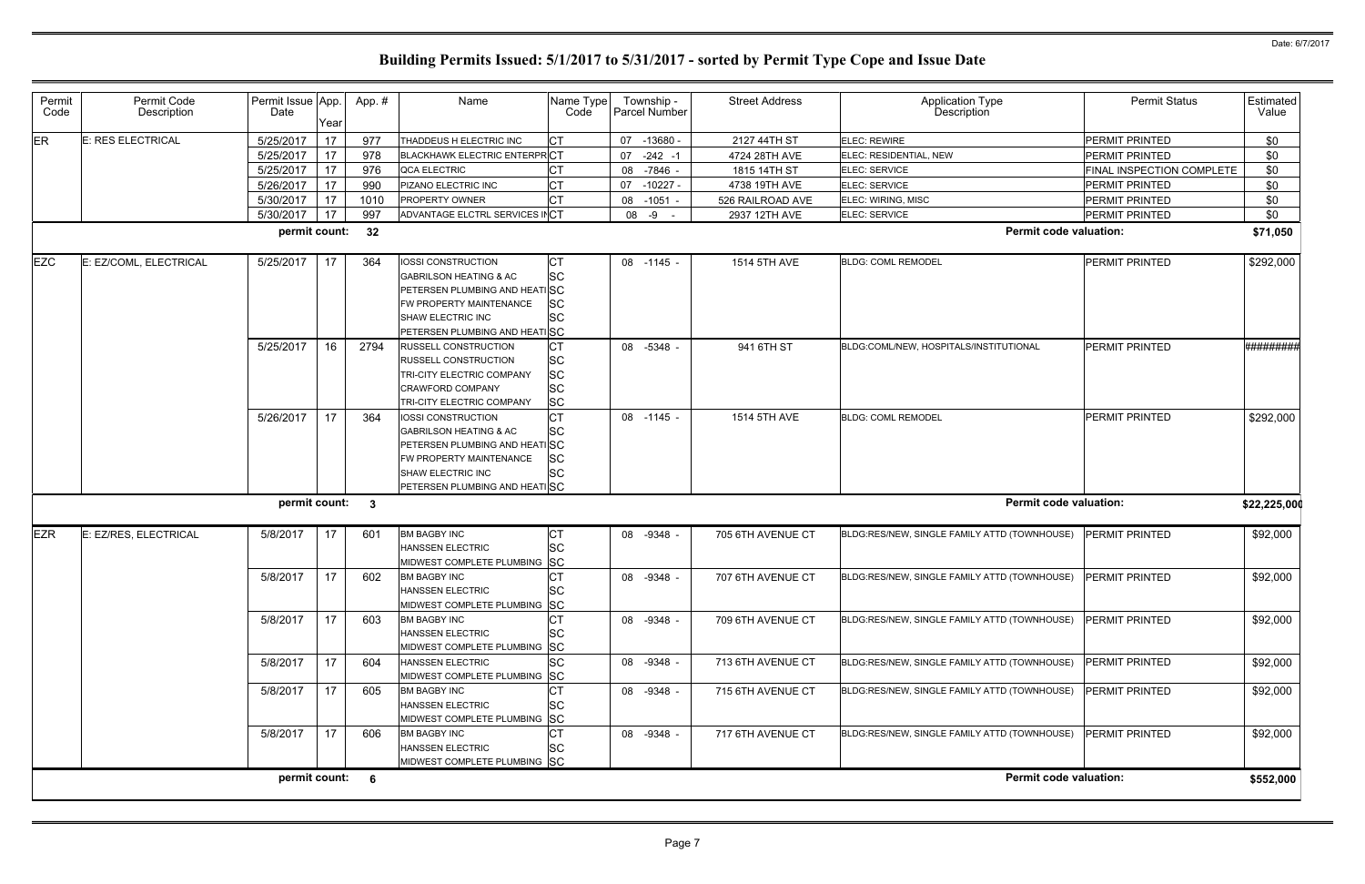| Permit<br>Code | Permit Code<br>Description | Permit Issue App.<br>Date | Year | App.# | Name                                | Name Type<br>Code | Township -<br>Parcel Number | <b>Street Address</b> | Application Type<br>Description              | <b>Permit Status</b>             | Estimated<br>Value |
|----------------|----------------------------|---------------------------|------|-------|-------------------------------------|-------------------|-----------------------------|-----------------------|----------------------------------------------|----------------------------------|--------------------|
| ER             | E: RES ELECTRICAL          | 5/25/2017                 | 17   | 977   | THADDEUS H ELECTRIC INC             | <b>CT</b>         | 07 -13680 -                 | 2127 44TH ST          | ELEC: REWIRE                                 | <b>PERMIT PRINTED</b>            | \$0                |
|                |                            | 5/25/2017                 | 17   | 978   | <b>BLACKHAWK ELECTRIC ENTERPRCT</b> |                   | 07<br>-242 -1               | 4724 28TH AVE         | ELEC: RESIDENTIAL, NEW                       | <b>PERMIT PRINTED</b>            | \$0                |
|                |                            | 5/25/2017                 | 17   | 976   | QCA ELECTRIC                        |                   | 08 -7846                    | 1815 14TH ST          | ELEC: SERVICE                                | <b>FINAL INSPECTION COMPLETE</b> | \$0                |
|                |                            | 5/26/2017                 | 17   | 990   | PIZANO ELECTRIC INC                 | <b>CT</b>         | -10227 -<br>07              | 4738 19TH AVE         | <b>ELEC: SERVICE</b>                         | <b>PERMIT PRINTED</b>            | \$0                |
|                |                            | 5/30/2017                 | 17   | 1010  | PROPERTY OWNER                      | CТ                | 08 -1051 -                  | 526 RAILROAD AVE      | ELEC: WIRING, MISC                           | PERMIT PRINTED                   | \$0                |
|                |                            | 5/30/2017                 | 17   | 997   | ADVANTAGE ELCTRL SERVICES INCT      |                   | 08 - 9 -                    | 2937 12TH AVE         | ELEC: SERVICE                                | PERMIT PRINTED                   | \$0                |
|                |                            | permit count:             |      | 32    |                                     |                   |                             |                       | <b>Permit code valuation:</b>                |                                  | \$71,050           |
| <b>EZC</b>     | E: EZ/COML, ELECTRICAL     | 5/25/2017                 | -17  | 364   | <b>IOSSI CONSTRUCTION</b>           | СT                | 08 -1145                    | 1514 5TH AVE          | <b>BLDG: COML REMODEL</b>                    | <b>PERMIT PRINTED</b>            | \$292,000          |
|                |                            |                           |      |       | <b>GABRILSON HEATING &amp; AC</b>   | <b>SC</b>         |                             |                       |                                              |                                  |                    |
|                |                            |                           |      |       | PETERSEN PLUMBING AND HEATISC       |                   |                             |                       |                                              |                                  |                    |
|                |                            |                           |      |       | FW PROPERTY MAINTENANCE             | <b>SC</b>         |                             |                       |                                              |                                  |                    |
|                |                            |                           |      |       | SHAW ELECTRIC INC                   | <b>SC</b>         |                             |                       |                                              |                                  |                    |
|                |                            |                           |      |       | PETERSEN PLUMBING AND HEATISC       |                   |                             |                       |                                              |                                  |                    |
|                |                            | 5/25/2017                 | 16   | 2794  | <b>RUSSELL CONSTRUCTION</b>         | IСТ               | 08 -5348                    | 941 6TH ST            | BLDG:COML/NEW, HOSPITALS/INSTITUTIONAL       | <b>PERMIT PRINTED</b>            | ##########         |
|                |                            |                           |      |       | <b>RUSSELL CONSTRUCTION</b>         | <b>SC</b>         |                             |                       |                                              |                                  |                    |
|                |                            |                           |      |       | TRI-CITY ELECTRIC COMPANY           | <b>SC</b>         |                             |                       |                                              |                                  |                    |
|                |                            |                           |      |       | <b>CRAWFORD COMPANY</b>             | <b>SC</b>         |                             |                       |                                              |                                  |                    |
|                |                            |                           |      |       | TRI-CITY ELECTRIC COMPANY           | <b>SC</b>         |                             |                       |                                              |                                  |                    |
|                |                            | 5/26/2017                 | 17   | 364   | IOSSI CONSTRUCTION                  | CТ                | 08 -1145 -                  | 1514 5TH AVE          | <b>BLDG: COML REMODEL</b>                    | PERMIT PRINTED                   | \$292,000          |
|                |                            |                           |      |       | <b>GABRILSON HEATING &amp; AC</b>   | <b>SC</b>         |                             |                       |                                              |                                  |                    |
|                |                            |                           |      |       | PETERSEN PLUMBING AND HEATISC       |                   |                             |                       |                                              |                                  |                    |
|                |                            |                           |      |       | FW PROPERTY MAINTENANCE             | <b>SC</b>         |                             |                       |                                              |                                  |                    |
|                |                            |                           |      |       | SHAW ELECTRIC INC                   | <b>SC</b>         |                             |                       |                                              |                                  |                    |
|                |                            | permit count: 3           |      |       | PETERSEN PLUMBING AND HEATISC       |                   |                             |                       | <b>Permit code valuation:</b>                |                                  |                    |
|                |                            |                           |      |       |                                     |                   |                             |                       |                                              |                                  | \$22,225,00        |
| <b>EZR</b>     | E: EZ/RES, ELECTRICAL      | 5/8/2017                  | 17   | 601   | <b>BM BAGBY INC</b>                 | IСТ               | 08 -9348 -                  | 705 6TH AVENUE CT     | BLDG:RES/NEW, SINGLE FAMILY ATTD (TOWNHOUSE) | <b>PERMIT PRINTED</b>            | \$92,000           |
|                |                            |                           |      |       | <b>HANSSEN ELECTRIC</b>             | <b>SC</b>         |                             |                       |                                              |                                  |                    |
|                |                            |                           |      |       | MIDWEST COMPLETE PLUMBING SC        |                   |                             |                       |                                              |                                  |                    |
|                |                            | 5/8/2017                  | 17   | 602   | <b>BM BAGBY INC</b>                 |                   | 08 -9348                    | 707 6TH AVENUE CT     | BLDG:RES/NEW, SINGLE FAMILY ATTD (TOWNHOUSE) | <b>PERMIT PRINTED</b>            | \$92,000           |
|                |                            |                           |      |       | HANSSEN ELECTRIC                    | <b>SC</b>         |                             |                       |                                              |                                  |                    |
|                |                            |                           |      |       | MIDWEST COMPLETE PLUMBING SC        |                   |                             |                       |                                              |                                  |                    |
|                |                            | 5/8/2017                  | 17   | 603   | <b>BM BAGBY INC</b>                 | СT                | 08 -9348 -                  | 709 6TH AVENUE CT     | BLDG:RES/NEW, SINGLE FAMILY ATTD (TOWNHOUSE) | <b>PERMIT PRINTED</b>            | \$92,000           |
|                |                            |                           |      |       | <b>HANSSEN ELECTRIC</b>             | <b>SC</b>         |                             |                       |                                              |                                  |                    |
|                |                            |                           |      |       | MIDWEST COMPLETE PLUMBING SC        |                   |                             |                       |                                              |                                  |                    |
|                |                            | 5/8/2017                  | 17   | 604   | <b>HANSSEN ELECTRIC</b>             | <b>SC</b>         | 08 -9348 -                  | 713 6TH AVENUE CT     | BLDG:RES/NEW, SINGLE FAMILY ATTD (TOWNHOUSE) | <b>PERMIT PRINTED</b>            | \$92,000           |
|                |                            |                           |      |       | MIDWEST COMPLETE PLUMBING SC        |                   |                             |                       |                                              |                                  |                    |
|                |                            | 5/8/2017                  | 17   | 605   | <b>BM BAGBY INC</b>                 | <b>CT</b>         | 08 -9348 -                  | 715 6TH AVENUE CT     | BLDG:RES/NEW, SINGLE FAMILY ATTD (TOWNHOUSE) | <b>PERMIT PRINTED</b>            | \$92,000           |
|                |                            |                           |      |       | <b>HANSSEN ELECTRIC</b>             | <b>SC</b>         |                             |                       |                                              |                                  |                    |
|                |                            |                           |      |       | MIDWEST COMPLETE PLUMBING SC        |                   |                             |                       |                                              |                                  |                    |
|                |                            | 5/8/2017                  | 17   | 606   | <b>BM BAGBY INC</b>                 | CT                | 08 -9348 -                  | 717 6TH AVENUE CT     | BLDG:RES/NEW, SINGLE FAMILY ATTD (TOWNHOUSE) | <b>PERMIT PRINTED</b>            | \$92,000           |
|                |                            |                           |      |       | <b>HANSSEN ELECTRIC</b>             | lSС               |                             |                       |                                              |                                  |                    |
|                |                            |                           |      |       | MIDWEST COMPLETE PLUMBING SC        |                   |                             |                       |                                              |                                  |                    |
|                |                            | permit count: 6           |      |       |                                     |                   |                             |                       | <b>Permit code valuation:</b>                |                                  | \$552,000          |
|                |                            |                           |      |       |                                     |                   |                             |                       |                                              |                                  |                    |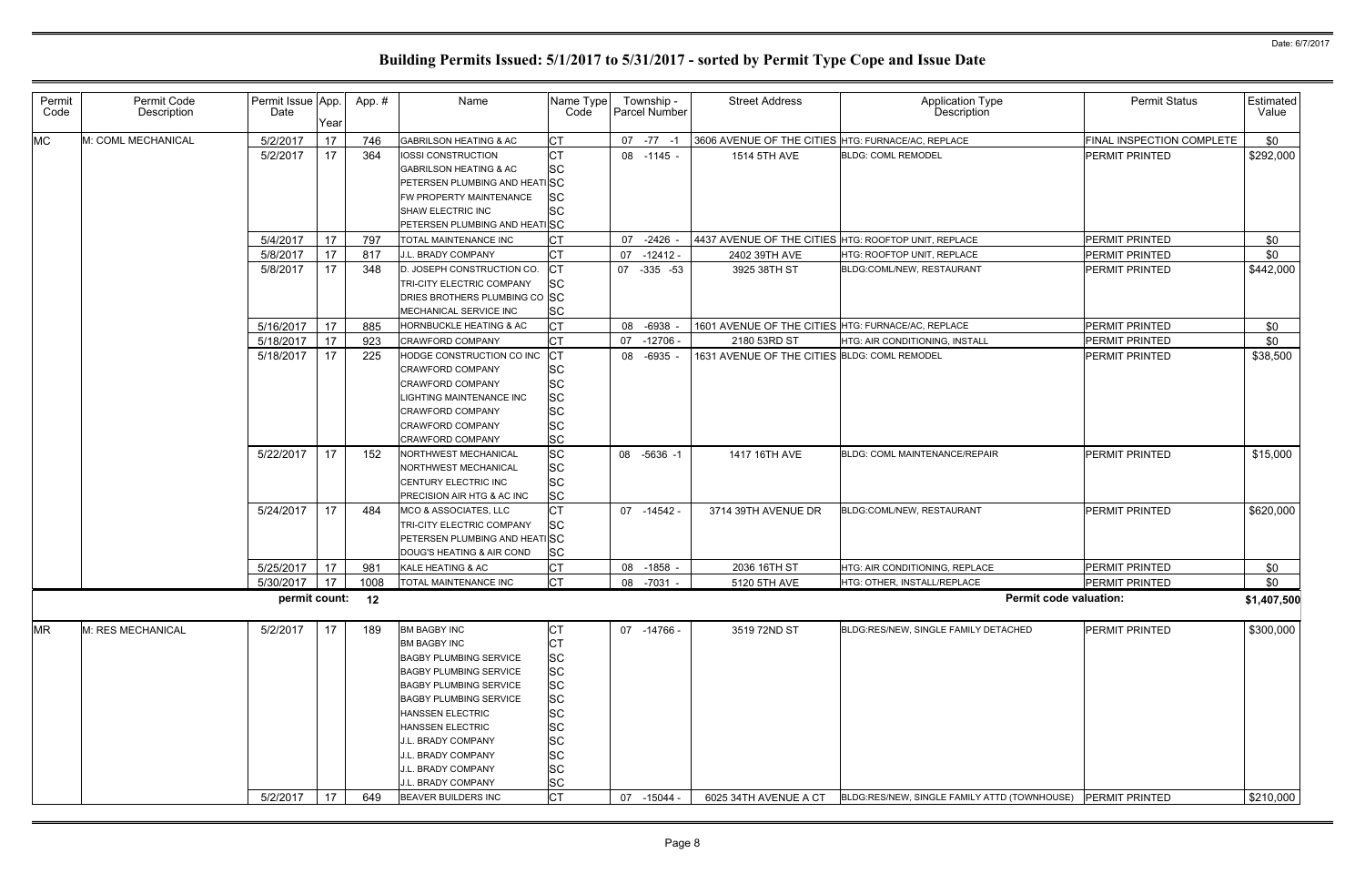| Permit<br>Code | Permit Code<br>Description | Permit Issue App.<br>Date | Year | App.# | Name                                                                                                                                                                                                                                                                                                                         | Name Type<br>Code                                                                                                                          | Township -<br>Parcel Number | <b>Street Address</b>                                | Application Type<br>Description              | <b>Permit Status</b>      | Estimated<br>Value |
|----------------|----------------------------|---------------------------|------|-------|------------------------------------------------------------------------------------------------------------------------------------------------------------------------------------------------------------------------------------------------------------------------------------------------------------------------------|--------------------------------------------------------------------------------------------------------------------------------------------|-----------------------------|------------------------------------------------------|----------------------------------------------|---------------------------|--------------------|
| <b>MC</b>      | M: COML MECHANICAL         | 5/2/2017                  | 17   | 746   | <b>GABRILSON HEATING &amp; AC</b>                                                                                                                                                                                                                                                                                            | IСТ                                                                                                                                        | $07 - 77 - 1$               | 3606 AVENUE OF THE CITIES HTG: FURNACE/AC, REPLACE   |                                              | FINAL INSPECTION COMPLETE | \$0                |
|                |                            | 5/2/2017                  | 17   | 364   | <b>IOSSI CONSTRUCTION</b><br><b>GABRILSON HEATING &amp; AC</b><br>PETERSEN PLUMBING AND HEATISC<br>FW PROPERTY MAINTENANCE<br>SHAW ELECTRIC INC<br>PETERSEN PLUMBING AND HEATISC                                                                                                                                             | <b>CT</b><br><b>SC</b><br><b>SC</b><br><b>SC</b>                                                                                           | 08 -1145 -                  | 1514 5TH AVE                                         | <b>BLDG: COML REMODEL</b>                    | <b>PERMIT PRINTED</b>     | \$292,000          |
|                |                            | 5/4/2017                  | 17   | 797   | TOTAL MAINTENANCE INC                                                                                                                                                                                                                                                                                                        | IСТ                                                                                                                                        | 07 -2426                    | 4437 AVENUE OF THE CITIES HTG: ROOFTOP UNIT, REPLACE |                                              | <b>PERMIT PRINTED</b>     | \$0                |
|                |                            | 5/8/2017                  | 17   | 817   | J.L. BRADY COMPANY                                                                                                                                                                                                                                                                                                           | СT                                                                                                                                         | $07 - 12412 -$              | 2402 39TH AVE                                        | HTG: ROOFTOP UNIT, REPLACE                   | <b>PERMIT PRINTED</b>     | \$0                |
|                |                            | 5/8/2017                  | 17   | 348   | D. JOSEPH CONSTRUCTION CO.<br>TRI-CITY ELECTRIC COMPANY<br>DRIES BROTHERS PLUMBING CO SC<br>MECHANICAL SERVICE INC                                                                                                                                                                                                           | СT<br><b>SC</b><br><b>SC</b>                                                                                                               | 07 -335 -53                 | 3925 38TH ST                                         | BLDG:COML/NEW, RESTAURANT                    | <b>PERMIT PRINTED</b>     | \$442,000          |
|                |                            | 5/16/2017                 | 17   | 885   | HORNBUCKLE HEATING & AC                                                                                                                                                                                                                                                                                                      | <b>CT</b>                                                                                                                                  | 08 -6938                    | 1601 AVENUE OF THE CITIES HTG: FURNACE/AC, REPLACE   |                                              | PERMIT PRINTED            | \$0                |
|                |                            | 5/18/2017                 | 17   | 923   | <b>CRAWFORD COMPANY</b>                                                                                                                                                                                                                                                                                                      | <b>CT</b>                                                                                                                                  | 07 -12706                   | 2180 53RD ST                                         | HTG: AIR CONDITIONING, INSTALL               | <b>PERMIT PRINTED</b>     | \$0                |
|                |                            | 5/18/2017                 | 17   | 225   | HODGE CONSTRUCTION CO INC<br><b>CRAWFORD COMPANY</b><br>CRAWFORD COMPANY<br>LIGHTING MAINTENANCE INC<br><b>CRAWFORD COMPANY</b><br><b>CRAWFORD COMPANY</b><br><b>CRAWFORD COMPANY</b>                                                                                                                                        | <b>CT</b><br><b>SC</b><br><b>SC</b><br><b>SC</b><br><b>SC</b><br><b>SC</b><br><b>SC</b>                                                    | 08 -6935                    | 1631 AVENUE OF THE CITIES BLDG: COML REMODEL         |                                              | <b>PERMIT PRINTED</b>     | \$38,500           |
|                |                            | 5/22/2017                 | 17   | 152   | NORTHWEST MECHANICAL<br><b>NORTHWEST MECHANICAL</b><br>CENTURY ELECTRIC INC<br><b>PRECISION AIR HTG &amp; AC INC</b>                                                                                                                                                                                                         | <b>SC</b><br><b>SC</b><br><b>SC</b><br><b>SC</b>                                                                                           | 08 -5636 -1                 | 1417 16TH AVE                                        | <b>BLDG: COML MAINTENANCE/REPAIR</b>         | <b>PERMIT PRINTED</b>     | \$15,000           |
|                |                            | 5/24/2017                 | 17   | 484   | MCO & ASSOCIATES, LLC<br>TRI-CITY ELECTRIC COMPANY<br>PETERSEN PLUMBING AND HEATISC<br>DOUG'S HEATING & AIR COND                                                                                                                                                                                                             | <b>CT</b><br><b>SC</b><br><b>SC</b>                                                                                                        | 07 -14542 -                 | 3714 39TH AVENUE DR                                  | BLDG:COML/NEW, RESTAURANT                    | <b>PERMIT PRINTED</b>     | \$620,000          |
|                |                            | 5/25/2017                 | 17   | 981   | KALE HEATING & AC                                                                                                                                                                                                                                                                                                            |                                                                                                                                            | 08 -1858                    | 2036 16TH ST                                         | <b>HTG: AIR CONDITIONING. REPLACE</b>        | <b>PERMIT PRINTED</b>     | \$0                |
|                |                            | 5/30/2017                 | 17   | 1008  | TOTAL MAINTENANCE INC                                                                                                                                                                                                                                                                                                        | <b>CT</b>                                                                                                                                  | 08 -7031 -                  | 5120 5TH AVE                                         | HTG: OTHER, INSTALL/REPLACE                  | <b>PERMIT PRINTED</b>     | \$0                |
|                |                            | permit count: 12          |      |       |                                                                                                                                                                                                                                                                                                                              |                                                                                                                                            |                             |                                                      | <b>Permit code valuation:</b>                |                           | \$1,407,500        |
| <b>MR</b>      | M: RES MECHANICAL          | 5/2/2017                  | 17   | 189   | <b>BM BAGBY INC</b><br><b>BM BAGBY INC</b><br><b>BAGBY PLUMBING SERVICE</b><br><b>BAGBY PLUMBING SERVICE</b><br><b>BAGBY PLUMBING SERVICE</b><br><b>BAGBY PLUMBING SERVICE</b><br><b>HANSSEN ELECTRIC</b><br><b>HANSSEN ELECTRIC</b><br>J.L. BRADY COMPANY<br>J.L. BRADY COMPANY<br>J.L. BRADY COMPANY<br>J.L. BRADY COMPANY | СT<br>СT<br><b>SC</b><br><b>SC</b><br><b>SC</b><br><b>SC</b><br><b>SC</b><br><b>SC</b><br><b>SC</b><br><b>SC</b><br><b>SC</b><br><b>SC</b> | 07 -14766 -                 | 3519 72ND ST                                         | BLDG:RES/NEW, SINGLE FAMILY DETACHED         | PERMIT PRINTED            | \$300,000          |
|                |                            | 5/2/2017                  | 17   | 649   | <b>BEAVER BUILDERS INC</b>                                                                                                                                                                                                                                                                                                   | <b>CT</b>                                                                                                                                  | 07 -15044                   | 6025 34TH AVENUE A CT                                | BLDG:RES/NEW, SINGLE FAMILY ATTD (TOWNHOUSE) | <b>PERMIT PRINTED</b>     | \$210,000          |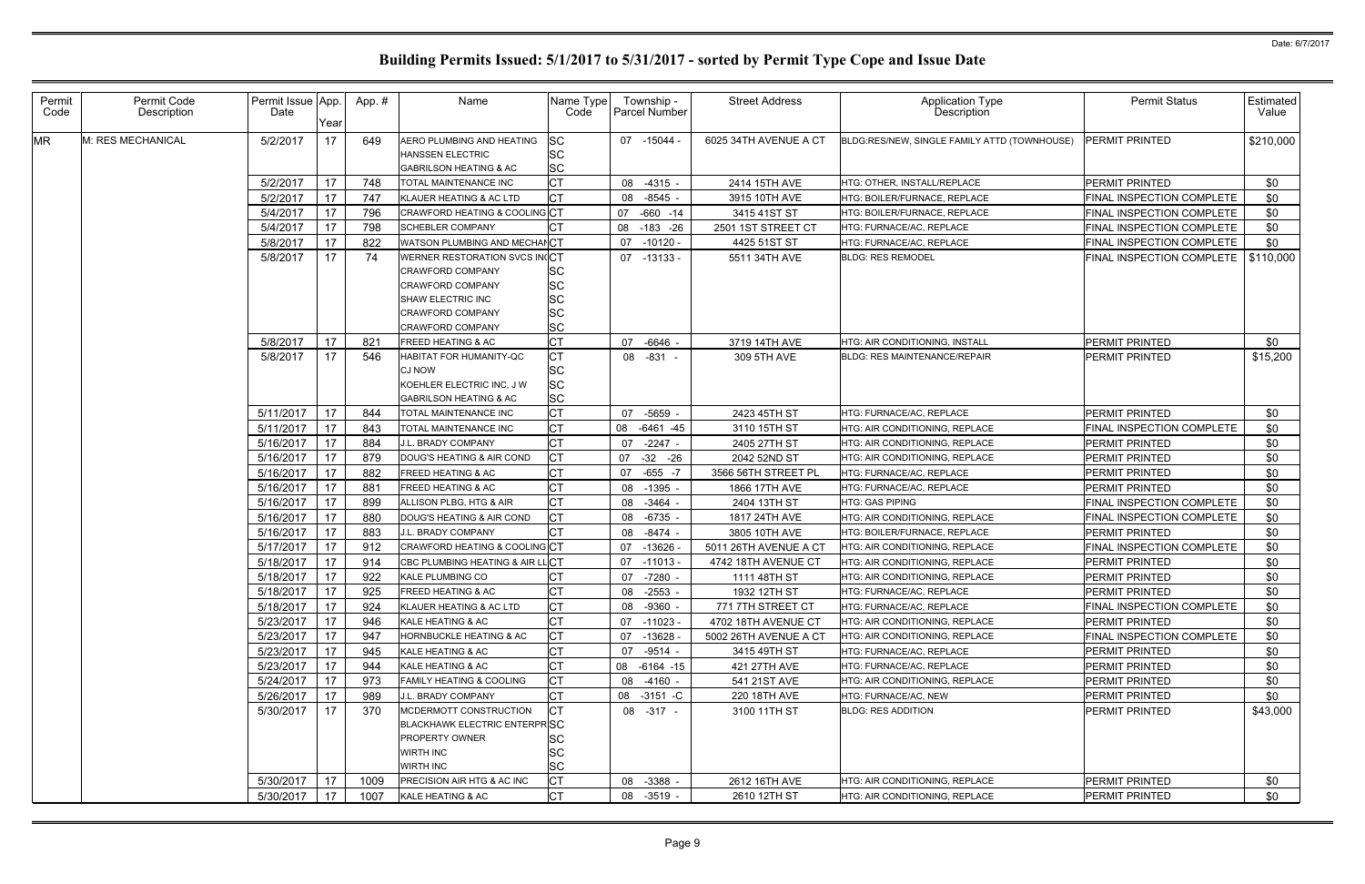| Permit<br>Code | Permit Code<br>Description | Permit Issue App.<br>Date | Yearl | App.# | Name                                                                                                                                                    | Name Type<br>Code                                             | Township -<br>Parcel Number |            | <b>Street Address</b> | <b>Application Type</b><br>Description       | <b>Permit Status</b>      | Estimated  <br>Value |
|----------------|----------------------------|---------------------------|-------|-------|---------------------------------------------------------------------------------------------------------------------------------------------------------|---------------------------------------------------------------|-----------------------------|------------|-----------------------|----------------------------------------------|---------------------------|----------------------|
| <b>MR</b>      | M: RES MECHANICAL          | 5/2/2017                  | 17    | 649   | AERO PLUMBING AND HEATING<br><b>HANSSEN ELECTRIC</b><br><b>GABRILSON HEATING &amp; AC</b>                                                               | <b>SC</b><br><b>SC</b><br><b>SC</b>                           | 07 -15044                   |            | 6025 34TH AVENUE A CT | BLDG:RES/NEW, SINGLE FAMILY ATTD (TOWNHOUSE) | <b>PERMIT PRINTED</b>     | \$210,000            |
|                |                            | 5/2/2017                  | 17    | 748   | TOTAL MAINTENANCE INC                                                                                                                                   | <b>CT</b>                                                     | 08                          | $-4315 -$  | 2414 15TH AVE         | HTG: OTHER, INSTALL/REPLACE                  | <b>PERMIT PRINTED</b>     | \$0                  |
|                |                            | 5/2/2017                  | 17    | 747   | KLAUER HEATING & AC LTD                                                                                                                                 | IСТ                                                           | 08 -8545                    |            | 3915 10TH AVE         | HTG: BOILER/FURNACE, REPLACE                 | FINAL INSPECTION COMPLETE | \$0                  |
|                |                            | 5/4/2017                  | 17    | 796   | CRAWFORD HEATING & COOLING CT                                                                                                                           |                                                               | 07                          | $-660 -14$ | 3415 41ST ST          | HTG: BOILER/FURNACE, REPLACE                 | FINAL INSPECTION COMPLETE | \$0                  |
|                |                            | 5/4/2017                  | 17    | 798   | <b>SCHEBLER COMPANY</b>                                                                                                                                 | IСT                                                           | 08 -183 -26                 |            | 2501 1ST STREET CT    | HTG: FURNACE/AC, REPLACE                     | FINAL INSPECTION COMPLETE | \$0                  |
|                |                            | 5/8/2017                  | 17    | 822   | WATSON PLUMBING AND MECHANCT                                                                                                                            |                                                               | 07                          | $-10120 -$ | 4425 51ST ST          | HTG: FURNACE/AC, REPLACE                     | FINAL INSPECTION COMPLETE | \$0                  |
|                |                            | 5/8/2017                  | 17    | 74    | WERNER RESTORATION SVCS IN(CT<br><b>CRAWFORD COMPANY</b><br>CRAWFORD COMPANY<br>SHAW ELECTRIC INC<br><b>CRAWFORD COMPANY</b><br><b>CRAWFORD COMPANY</b> | <b>SC</b><br><b>SC</b><br><b>SC</b><br><b>SC</b><br><b>SC</b> | 07 -13133 -                 |            | 5511 34TH AVE         | <b>BLDG: RES REMODEL</b>                     | FINAL INSPECTION COMPLETE | \$110,000            |
|                |                            | 5/8/2017                  | 17    | 821   | <b>FREED HEATING &amp; AC</b>                                                                                                                           | Iст                                                           | 07                          | -6646      | 3719 14TH AVE         | HTG: AIR CONDITIONING, INSTALL               | PERMIT PRINTED            | \$0                  |
|                |                            | 5/8/2017                  | 17    | 546   | HABITAT FOR HUMANITY-QC<br><b>CJ NOW</b><br>KOEHLER ELECTRIC INC, J W<br><b>GABRILSON HEATING &amp; AC</b>                                              | <b>CT</b><br><b>SC</b><br><b>SC</b><br><b>SC</b>              | 08 -831 -                   |            | 309 5TH AVE           | <b>BLDG: RES MAINTENANCE/REPAIR</b>          | PERMIT PRINTED            | \$15,200             |
|                |                            | 5/11/2017                 | 17    | 844   | TOTAL MAINTENANCE INC                                                                                                                                   | <b>CT</b>                                                     | 07 -5659                    |            | 2423 45TH ST          | HTG: FURNACE/AC, REPLACE                     | PERMIT PRINTED            | \$0                  |
|                |                            | 5/11/2017                 | 17    | 843   | <b>TOTAL MAINTENANCE INC</b>                                                                                                                            | Iст                                                           | 08 -6461 -45                |            | 3110 15TH ST          | HTG: AIR CONDITIONING, REPLACE               | FINAL INSPECTION COMPLETE | \$0                  |
|                |                            | 5/16/2017                 | 17    | 884   | J.L. BRADY COMPANY                                                                                                                                      | <b>CT</b>                                                     | 07                          | $-2247$    | 2405 27TH ST          | <b>HTG: AIR CONDITIONING, REPLACE</b>        | PERMIT PRINTED            | \$0                  |
|                |                            | 5/16/2017                 | 17    | 879   | DOUG'S HEATING & AIR COND                                                                                                                               | Iст                                                           | 07                          | -32 -26    | 2042 52ND ST          | HTG: AIR CONDITIONING, REPLACE               | PERMIT PRINTED            | \$0                  |
|                |                            | 5/16/2017                 | 17    | 882   | <b>FREED HEATING &amp; AC</b>                                                                                                                           | Iст                                                           | 07 -655 -7                  |            | 3566 56TH STREET PL   | HTG: FURNACE/AC, REPLACE                     | PERMIT PRINTED            | \$0                  |
|                |                            | 5/16/2017                 | 17    | 881   | <b>FREED HEATING &amp; AC</b>                                                                                                                           | IСТ                                                           | 08                          | $-1395$    | 1866 17TH AVE         | HTG: FURNACE/AC, REPLACE                     | PERMIT PRINTED            | \$0                  |
|                |                            | 5/16/2017                 | 17    | 899   | ALLISON PLBG, HTG & AIR                                                                                                                                 | IСТ                                                           | 08 -3464                    |            | 2404 13TH ST          | <b>HTG: GAS PIPING</b>                       | FINAL INSPECTION COMPLETE | \$0                  |
|                |                            | 5/16/2017                 | 17    | 880   | DOUG'S HEATING & AIR COND                                                                                                                               | IСТ                                                           | 08                          | -6735      | 1817 24TH AVE         | HTG: AIR CONDITIONING, REPLACE               | FINAL INSPECTION COMPLETE | \$0                  |
|                |                            | 5/16/2017                 | 17    | 883   | J.L. BRADY COMPANY                                                                                                                                      | IСT                                                           | 08 -8474                    |            | 3805 10TH AVE         | HTG: BOILER/FURNACE, REPLACE                 | PERMIT PRINTED            | \$0                  |
|                |                            | 5/17/2017                 | 17    | 912   | CRAWFORD HEATING & COOLING CT                                                                                                                           |                                                               | 07                          | $-13626$   | 5011 26TH AVENUE A CT | HTG: AIR CONDITIONING, REPLACE               | FINAL INSPECTION COMPLETE | \$0                  |
|                |                            | 5/18/2017                 | -17   | 914   | CBC PLUMBING HEATING & AIR LLCT                                                                                                                         |                                                               | $07 - 11013$                |            | 4742 18TH AVENUE CT   | <b>HTG: AIR CONDITIONING, REPLACE</b>        | PERMIT PRINTED            | \$0                  |
|                |                            | 5/18/2017                 | 17    | 922   | <b>KALE PLUMBING CO</b>                                                                                                                                 | Iст                                                           | 07                          | -7280      | 1111 48TH ST          | HTG: AIR CONDITIONING, REPLACE               | PERMIT PRINTED            | \$0                  |
|                |                            | 5/18/2017   17            |       | 925   | <b>FREED HEATING &amp; AC</b>                                                                                                                           | ЮI                                                            | 08 -2553 -                  |            | 1932 12TH ST          | HTG: FURNACE/AC, REPLACE                     | <b>PERMIT PRINTED</b>     | \$0                  |
|                |                            | 5/18/2017                 | 17    | 924   | KLAUER HEATING & AC LTD                                                                                                                                 | IСТ                                                           | 08 -9360 -                  |            | 771 7TH STREET CT     | HTG: FURNACE/AC, REPLACE                     | FINAL INSPECTION COMPLETE | \$0                  |
|                |                            | 5/23/2017                 | 17    | 946   | KALE HEATING & AC                                                                                                                                       | <b>CT</b>                                                     | 07 -11023 -                 |            | 4702 18TH AVENUE CT   | <b>HTG: AIR CONDITIONING. REPLACE</b>        | <b>PERMIT PRINTED</b>     | \$0                  |
|                |                            | 5/23/2017                 | 17    | 947   | HORNBUCKLE HEATING & AC                                                                                                                                 | СT                                                            | $07 - 13628$                |            | 5002 26TH AVENUE A CT | HTG: AIR CONDITIONING, REPLACE               | FINAL INSPECTION COMPLETE | \$0                  |
|                |                            | 5/23/2017                 | 17    | 945   | KALE HEATING & AC                                                                                                                                       | Iст                                                           | 07 -9514 -                  |            | 3415 49TH ST          | HTG: FURNACE/AC, REPLACE                     | PERMIT PRINTED            | \$0                  |
|                |                            | 5/23/2017                 | 17    | 944   | KALE HEATING & AC                                                                                                                                       | IСT                                                           | 08 -6164 -15                |            | 421 27TH AVE          | HTG: FURNACE/AC, REPLACE                     | PERMIT PRINTED            | \$0                  |
|                |                            | 5/24/2017                 | 17    | 973   | FAMILY HEATING & COOLING                                                                                                                                | Iст                                                           | 08 -4160 -                  |            | 541 21ST AVE          | HTG: AIR CONDITIONING, REPLACE               | PERMIT PRINTED            | \$0                  |
|                |                            | 5/26/2017                 | 17    | 989   | J.L. BRADY COMPANY                                                                                                                                      | Iст                                                           | 08 -3151 -C                 |            | 220 18TH AVE          | HTG: FURNACE/AC, NEW                         | PERMIT PRINTED            | <b>\$0</b>           |
|                |                            | 5/30/2017                 | 17    | 370   | MCDERMOTT CONSTRUCTION<br><b>BLACKHAWK ELECTRIC ENTERPRISC</b><br><b>PROPERTY OWNER</b><br>WIRTH INC<br>WIRTH INC                                       | IСT<br><b>SC</b><br><b>SC</b><br><b>SC</b>                    | 08 -317 -                   |            | 3100 11TH ST          | <b>BLDG: RES ADDITION</b>                    | <b>PERMIT PRINTED</b>     | \$43,000             |
|                |                            | 5/30/2017                 | 17    | 1009  | PRECISION AIR HTG & AC INC                                                                                                                              | <b>CT</b>                                                     | 08 -3388                    |            | 2612 16TH AVE         | <b>HTG: AIR CONDITIONING. REPLACE</b>        | PERMIT PRINTED            | \$0                  |
|                |                            | 5/30/2017                 | 17    | 1007  | KALE HEATING & AC                                                                                                                                       | <b>CT</b>                                                     | 08 -3519 -                  |            | 2610 12TH ST          | HTG: AIR CONDITIONING, REPLACE               | PERMIT PRINTED            | \$0                  |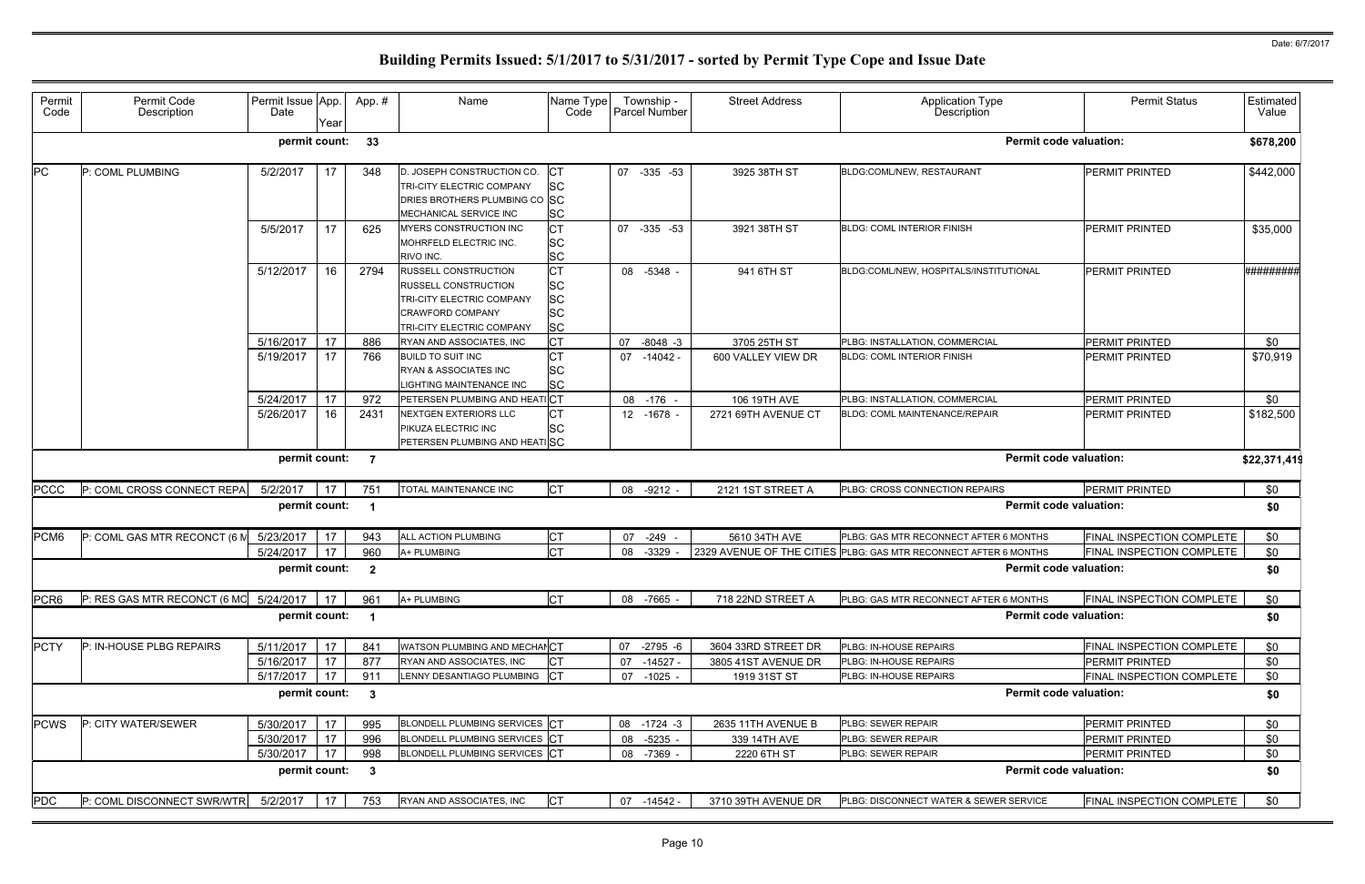| Permit<br>Code   | Permit Code<br>Description               | Permit Issue App.<br>Date | Year | App.#                   | Name                                                                                                                                            | Name Type<br>Code                                             | Township -<br>Parcel Number | <b>Street Address</b> | Application Type<br>Description                                  | <b>Permit Status</b>      | Estimated<br>Value |
|------------------|------------------------------------------|---------------------------|------|-------------------------|-------------------------------------------------------------------------------------------------------------------------------------------------|---------------------------------------------------------------|-----------------------------|-----------------------|------------------------------------------------------------------|---------------------------|--------------------|
|                  |                                          | permit count:             |      | 33                      |                                                                                                                                                 |                                                               |                             |                       | <b>Permit code valuation:</b>                                    |                           | \$678,200          |
| <b>PC</b>        | P: COML PLUMBING                         | 5/2/2017                  | 17   | 348                     | D. JOSEPH CONSTRUCTION CO.<br>TRI-CITY ELECTRIC COMPANY<br>DRIES BROTHERS PLUMBING CO SC<br><b>MECHANICAL SERVICE INC</b>                       | IСТ<br><b>SC</b><br><b>SC</b>                                 | 07 -335 -53                 | 3925 38TH ST          | BLDG:COML/NEW, RESTAURANT                                        | <b>PERMIT PRINTED</b>     | \$442,000          |
|                  |                                          | 5/5/2017                  | 17   | 625                     | MYERS CONSTRUCTION INC<br>MOHRFELD ELECTRIC INC.<br>RIVO INC.                                                                                   | <b>CT</b><br><b>SC</b><br><b>SC</b>                           | 07 -335 -53                 | 3921 38TH ST          | <b>BLDG: COML INTERIOR FINISH</b>                                | PERMIT PRINTED            | \$35,000           |
|                  |                                          | 5/12/2017                 | 16   | 2794                    | <b>RUSSELL CONSTRUCTION</b><br><b>RUSSELL CONSTRUCTION</b><br>TRI-CITY ELECTRIC COMPANY<br><b>CRAWFORD COMPANY</b><br>TRI-CITY ELECTRIC COMPANY | <b>CT</b><br><b>SC</b><br><b>SC</b><br><b>SC</b><br><b>SC</b> | 08 -5348 -                  | 941 6TH ST            | BLDG:COML/NEW, HOSPITALS/INSTITUTIONAL                           | <b>PERMIT PRINTED</b>     | #########          |
|                  |                                          | 5/16/2017                 | 17   | 886                     | RYAN AND ASSOCIATES, INC                                                                                                                        | Iст                                                           | 07<br>$-8048 - 3$           | 3705 25TH ST          | PLBG: INSTALLATION, COMMERCIAL                                   | <b>PERMIT PRINTED</b>     | \$0                |
|                  |                                          | 5/19/2017                 | 17   | 766                     | <b>BUILD TO SUIT INC</b><br><b>RYAN &amp; ASSOCIATES INC</b><br>LIGHTING MAINTENANCE INC                                                        | <b>CT</b><br><b>SC</b><br><b>SC</b>                           | 07 -14042 -                 | 600 VALLEY VIEW DR    | <b>BLDG: COML INTERIOR FINISH</b>                                | <b>PERMIT PRINTED</b>     | \$70,919           |
|                  |                                          | 5/24/2017                 | 17   | 972                     | PETERSEN PLUMBING AND HEAT                                                                                                                      | <b>CT</b>                                                     | 08 -176 -                   | 106 19TH AVE          | PLBG: INSTALLATION, COMMERCIAL                                   | <b>PERMIT PRINTED</b>     | \$0                |
|                  |                                          | 5/26/2017                 | 16   | 2431                    | <b>NEXTGEN EXTERIORS LLC</b><br>PIKUZA ELECTRIC INC<br>PETERSEN PLUMBING AND HEATISC                                                            | <b>CT</b><br><b>SC</b>                                        | 12 -1678 -                  | 2721 69TH AVENUE CT   | <b>BLDG: COML MAINTENANCE/REPAIR</b>                             | <b>PERMIT PRINTED</b>     | \$182,500          |
|                  |                                          | permit count:             |      | $\overline{7}$          |                                                                                                                                                 |                                                               |                             |                       | <b>Permit code valuation:</b>                                    |                           | \$22,371,419       |
| <b>PCCC</b>      | P: COML CROSS CONNECT REPA               | 5/2/2017                  | 17   | 751                     | TOTAL MAINTENANCE INC                                                                                                                           | Iст                                                           | 08 -9212 -                  | 2121 1ST STREET A     | PLBG: CROSS CONNECTION REPAIRS                                   | <b>PERMIT PRINTED</b>     | \$0                |
|                  |                                          | permit count:             |      |                         |                                                                                                                                                 |                                                               |                             |                       | <b>Permit code valuation:</b>                                    |                           | \$0                |
| PCM <sub>6</sub> | P: COML GAS MTR RECONCT (6 $N$ 5/23/2017 |                           | 17   | 943                     | ALL ACTION PLUMBING                                                                                                                             | Iст                                                           | $-249$<br>07                | 5610 34TH AVE         | PLBG: GAS MTR RECONNECT AFTER 6 MONTHS                           | FINAL INSPECTION COMPLETE | \$0                |
|                  |                                          | 5/24/2017                 | 17   | 960                     | A+ PLUMBING                                                                                                                                     | Iст                                                           | 08 -3329                    |                       | 2329 AVENUE OF THE CITIES PLBG: GAS MTR RECONNECT AFTER 6 MONTHS | FINAL INSPECTION COMPLETE | \$0                |
|                  |                                          | permit count:             |      | $\overline{\mathbf{2}}$ |                                                                                                                                                 |                                                               |                             |                       | <b>Permit code valuation:</b>                                    |                           | \$0                |
| PCR <sub>6</sub> | P: RES GAS MTR RECONCT (6 MC 5/24/2017   |                           | 17   | 961                     | A+ PLUMBING                                                                                                                                     | <b>CT</b>                                                     | 08 -7665 -                  | 718 22ND STREET A     | PLBG: GAS MTR RECONNECT AFTER 6 MONTHS                           | FINAL INSPECTION COMPLETE | \$0                |
|                  |                                          | permit count: 1           |      |                         |                                                                                                                                                 |                                                               |                             |                       | <b>Permit code valuation:</b>                                    |                           | \$0                |
| <b>PCTY</b>      | P: IN-HOUSE PLBG REPAIRS                 | 5/11/2017                 | 17   | 841                     | WATSON PLUMBING AND MECHANCT                                                                                                                    |                                                               | 07 -2795 -6                 | 3604 33RD STREET DR   | PLBG: IN-HOUSE REPAIRS                                           | FINAL INSPECTION COMPLETE | \$0                |
|                  |                                          | 5/16/2017                 | 17   | 877                     | RYAN AND ASSOCIATES, INC                                                                                                                        | <b>CT</b>                                                     | 07 -14527 -                 | 3805 41ST AVENUE DR   | PLBG: IN-HOUSE REPAIRS                                           | PERMIT PRINTED            | \$0                |
|                  |                                          | 5/17/2017                 | 17   | 911                     | LENNY DESANTIAGO PLUMBING CT                                                                                                                    |                                                               | 07 -1025 -                  | 1919 31ST ST          | PLBG: IN-HOUSE REPAIRS                                           | FINAL INSPECTION COMPLETE | \$0                |
|                  |                                          | permit count: 3           |      |                         |                                                                                                                                                 |                                                               |                             |                       | <b>Permit code valuation:</b>                                    |                           | \$0                |
| <b>PCWS</b>      | P: CITY WATER/SEWER                      | 5/30/2017                 | 17   | 995                     | BLONDELL PLUMBING SERVICES CT                                                                                                                   |                                                               | 08 -1724 -3                 | 2635 11TH AVENUE B    | PLBG: SEWER REPAIR                                               | PERMIT PRINTED            | \$0                |
|                  |                                          | 5/30/2017                 | 17   | 996                     | BLONDELL PLUMBING SERVICES CT                                                                                                                   |                                                               | 08 -5235 -                  | 339 14TH AVE          | PLBG: SEWER REPAIR                                               | PERMIT PRINTED            | \$0                |
|                  |                                          | 5/30/2017                 | 17   | 998                     | BLONDELL PLUMBING SERVICES CT                                                                                                                   |                                                               | 08 -7369 -                  | 2220 6TH ST           | PLBG: SEWER REPAIR                                               | PERMIT PRINTED            | \$0                |
|                  |                                          | permit count: 3           |      |                         |                                                                                                                                                 |                                                               |                             |                       | <b>Permit code valuation:</b>                                    |                           | \$0                |
| <b>PDC</b>       | P: COML DISCONNECT SWR/WTR               | 5/2/2017                  | 17   | 753                     | RYAN AND ASSOCIATES, INC                                                                                                                        | <b>CT</b>                                                     | 07 -14542 -                 | 3710 39TH AVENUE DR   | PLBG: DISCONNECT WATER & SEWER SERVICE                           | FINAL INSPECTION COMPLETE | \$0                |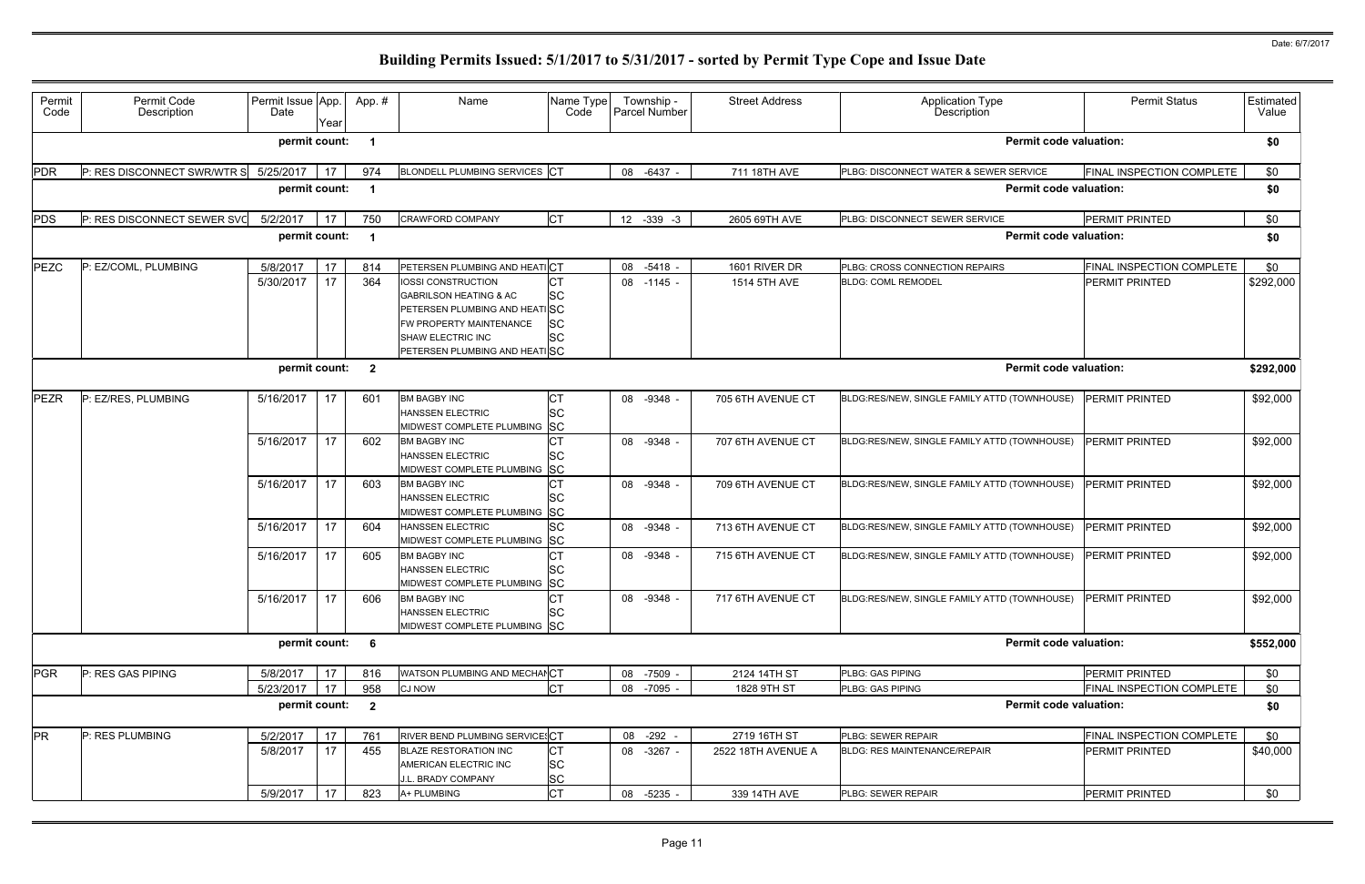| Permit<br>Code | Permit Code<br>Description  | Permit Issue App.<br>Date | Year | App.#                   | Name                                                                                                                                                                             | Name Type<br>Code                                | Township -<br>Parcel Number | <b>Street Address</b> | <b>Application Type</b><br>Description       | <b>Permit Status</b>             | Estimated<br>Value |
|----------------|-----------------------------|---------------------------|------|-------------------------|----------------------------------------------------------------------------------------------------------------------------------------------------------------------------------|--------------------------------------------------|-----------------------------|-----------------------|----------------------------------------------|----------------------------------|--------------------|
|                |                             | permit count:             |      |                         |                                                                                                                                                                                  |                                                  |                             |                       | <b>Permit code valuation:</b>                |                                  | \$0                |
| PDR            | P: RES DISCONNECT SWR/WTR S | 5/25/2017                 | 17   | 974                     | BLONDELL PLUMBING SERVICES CT                                                                                                                                                    |                                                  | 08 -6437 -                  | 711 18TH AVE          | PLBG: DISCONNECT WATER & SEWER SERVICE       | FINAL INSPECTION COMPLETE        | \$0                |
|                |                             | permit count:             |      |                         |                                                                                                                                                                                  |                                                  |                             |                       | <b>Permit code valuation:</b>                |                                  | \$0                |
| PDS            | P: RES DISCONNECT SEWER SVO | 5/2/2017                  | 17   | 750                     | <b>CRAWFORD COMPANY</b>                                                                                                                                                          | <b>CT</b>                                        | 12 -339 -3                  | 2605 69TH AVE         | PLBG: DISCONNECT SEWER SERVICE               | <b>PERMIT PRINTED</b>            | \$0                |
|                |                             | permit count:             |      |                         |                                                                                                                                                                                  |                                                  |                             |                       | <b>Permit code valuation:</b>                |                                  | \$0                |
| PEZC           | P: EZ/COML, PLUMBING        | 5/8/2017                  | 17   | 814                     | PETERSEN PLUMBING AND HEATICT                                                                                                                                                    |                                                  | 08 -5418                    | 1601 RIVER DR         | PLBG: CROSS CONNECTION REPAIRS               | <b>FINAL INSPECTION COMPLETE</b> | \$0                |
|                |                             | 5/30/2017                 | 17   | 364                     | <b>IOSSI CONSTRUCTION</b><br><b>GABRILSON HEATING &amp; AC</b><br>PETERSEN PLUMBING AND HEATISC<br>FW PROPERTY MAINTENANCE<br>SHAW ELECTRIC INC<br>PETERSEN PLUMBING AND HEATISC | <b>CT</b><br><b>SC</b><br><b>SC</b><br><b>SC</b> | 08 -1145                    | 1514 5TH AVE          | <b>BLDG: COML REMODEL</b>                    | PERMIT PRINTED                   | \$292,000          |
|                |                             | permit count:             |      | $\overline{\mathbf{2}}$ |                                                                                                                                                                                  |                                                  |                             |                       | <b>Permit code valuation:</b>                |                                  | \$292,000          |
| <b>PEZR</b>    | P: EZ/RES, PLUMBING         | 5/16/2017                 | 17   | 601                     | <b>BM BAGBY INC</b><br><b>HANSSEN ELECTRIC</b><br>MIDWEST COMPLETE PLUMBING                                                                                                      | IСТ<br><b>SC</b><br><b>SC</b>                    | 08 -9348                    | 705 6TH AVENUE CT     | BLDG:RES/NEW, SINGLE FAMILY ATTD (TOWNHOUSE) | <b>PERMIT PRINTED</b>            | \$92,000           |
|                |                             | 5/16/2017                 | 17   | 602                     | <b>BM BAGBY INC</b><br><b>HANSSEN ELECTRIC</b><br>MIDWEST COMPLETE PLUMBING SC                                                                                                   | <b>SC</b>                                        | 08 -9348                    | 707 6TH AVENUE CT     | BLDG:RES/NEW, SINGLE FAMILY ATTD (TOWNHOUSE) | <b>PERMIT PRINTED</b>            | \$92,000           |
|                |                             | 5/16/2017                 | 17   | 603                     | <b>BM BAGBY INC</b><br><b>HANSSEN ELECTRIC</b><br>MIDWEST COMPLETE PLUMBING SC                                                                                                   | <b>SC</b>                                        | 08 -9348 -                  | 709 6TH AVENUE CT     | BLDG:RES/NEW, SINGLE FAMILY ATTD (TOWNHOUSE) | <b>PERMIT PRINTED</b>            | \$92,000           |
|                |                             | 5/16/2017                 | 17   | 604                     | <b>HANSSEN ELECTRIC</b><br>MIDWEST COMPLETE PLUMBING                                                                                                                             | <b>SC</b><br><b>SC</b>                           | 08 -9348 -                  | 713 6TH AVENUE CT     | BLDG:RES/NEW, SINGLE FAMILY ATTD (TOWNHOUSE) | <b>PERMIT PRINTED</b>            | \$92,000           |
|                |                             | 5/16/2017                 | 17   | 605                     | <b>BM BAGBY INC</b><br><b>HANSSEN ELECTRIC</b><br>MIDWEST COMPLETE PLUMBING SC                                                                                                   | SС                                               | 08 -9348                    | 715 6TH AVENUE CT     | BLDG:RES/NEW, SINGLE FAMILY ATTD (TOWNHOUSE) | <b>PERMIT PRINTED</b>            | \$92,000           |
|                |                             | 5/16/2017                 | 17   | 606                     | <b>BM BAGBY INC</b><br><b>HANSSEN ELECTRIC</b><br>MIDWEST COMPLETE PLUMBING SC                                                                                                   | IСТ<br><b>SC</b>                                 | 08 -9348 -                  | 717 6TH AVENUE CT     | BLDG:RES/NEW, SINGLE FAMILY ATTD (TOWNHOUSE) | <b>PERMIT PRINTED</b>            | \$92,000           |
|                |                             | permit count: 6           |      |                         |                                                                                                                                                                                  |                                                  |                             |                       | <b>Permit code valuation:</b>                |                                  | \$552,000          |
| PGR            | P: RES GAS PIPING           | 5/8/2017                  | 17   | 816                     | WATSON PLUMBING AND MECHANCT                                                                                                                                                     |                                                  | 08 -7509 -                  | 2124 14TH ST          | PLBG: GAS PIPING                             | PERMIT PRINTED                   | \$0                |
|                |                             | 5/23/2017                 | 17   | 958                     | <b>CJ NOW</b>                                                                                                                                                                    | <b>CT</b>                                        | 08 -7095 -                  | 1828 9TH ST           | PLBG: GAS PIPING                             | FINAL INSPECTION COMPLETE        | \$0                |
|                |                             | permit count:             |      | $\overline{\mathbf{2}}$ |                                                                                                                                                                                  |                                                  |                             |                       | <b>Permit code valuation:</b>                |                                  | \$0                |
| <b>PR</b>      | P: RES PLUMBING             | 5/2/2017                  | 17   | 761                     | RIVER BEND PLUMBING SERVICESCT                                                                                                                                                   |                                                  | 08 -292 -                   | 2719 16TH ST          | PLBG: SEWER REPAIR                           | FINAL INSPECTION COMPLETE        | \$0                |
|                |                             | 5/8/2017                  | 17   | 455                     | <b>BLAZE RESTORATION INC</b><br>AMERICAN ELECTRIC INC<br>J.L. BRADY COMPANY                                                                                                      | СT<br><b>SC</b><br><b>SC</b>                     | 08 -3267 -                  | 2522 18TH AVENUE A    | <b>BLDG: RES MAINTENANCE/REPAIR</b>          | <b>PERMIT PRINTED</b>            | \$40,000           |
|                |                             | 5/9/2017                  | 17   | 823                     | A+ PLUMBING                                                                                                                                                                      | <b>CT</b>                                        | 08 -5235 -                  | 339 14TH AVE          | PLBG: SEWER REPAIR                           | PERMIT PRINTED                   | \$0                |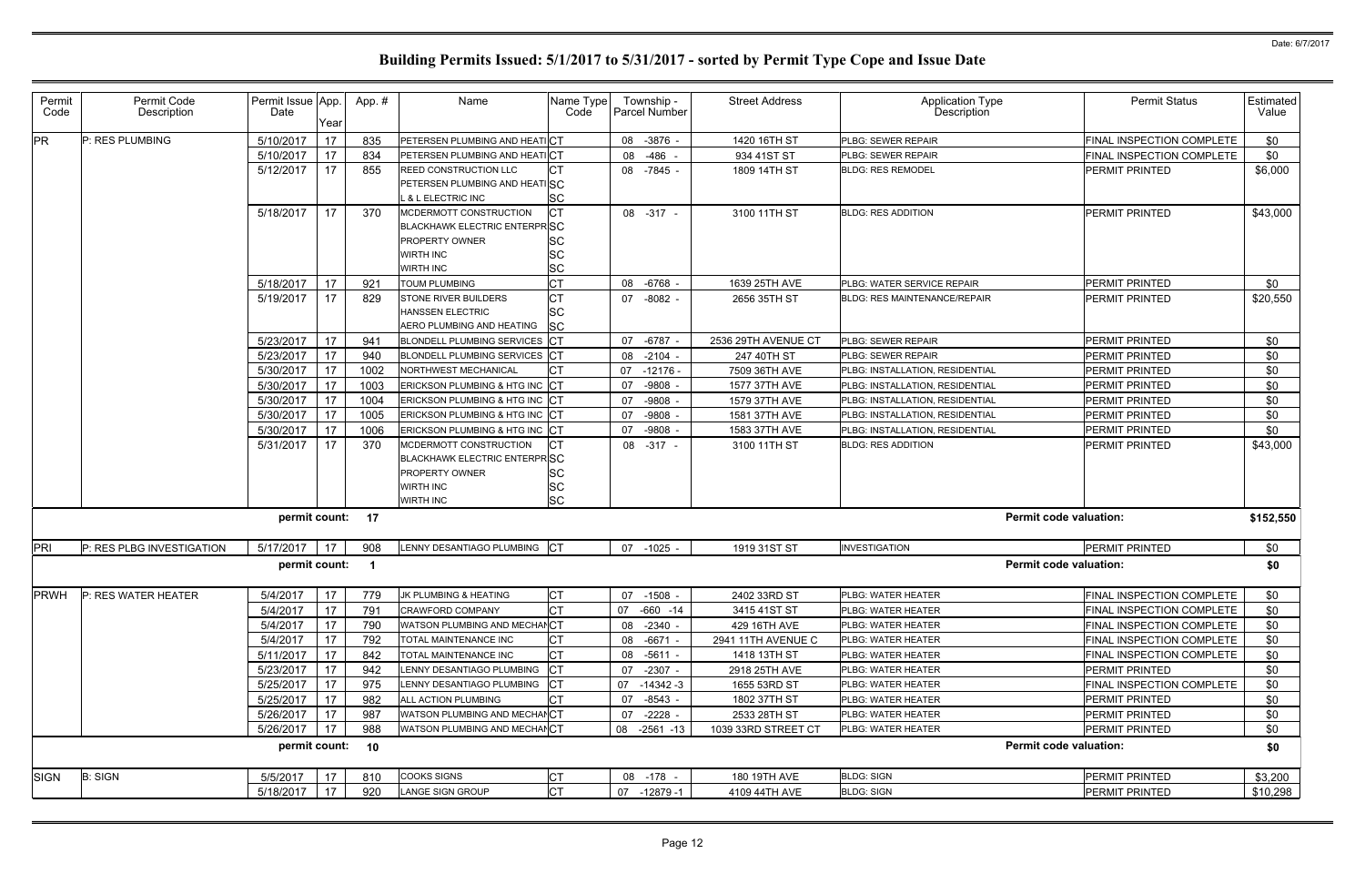| Permit<br>Code | Permit Code<br>Description | Permit Issue App.<br>Date | Year | App.# | Name                                                   | Name Type<br>Code | Township -<br>Parcel Number | <b>Street Address</b> | <b>Application Type</b><br>Description | <b>Permit Status</b>          | Estimated<br>Value |
|----------------|----------------------------|---------------------------|------|-------|--------------------------------------------------------|-------------------|-----------------------------|-----------------------|----------------------------------------|-------------------------------|--------------------|
| <b>PR</b>      | P: RES PLUMBING            | 5/10/2017                 | 17   | 835   | PETERSEN PLUMBING AND HEATICT                          |                   | 08 - 3876 -                 | 1420 16TH ST          | PLBG: SEWER REPAIR                     | FINAL INSPECTION COMPLETE     | \$0                |
|                |                            | 5/10/2017                 | 17   | 834   | PETERSEN PLUMBING AND HEATICT                          |                   | -486<br>08                  | 934 41ST ST           | PLBG: SEWER REPAIR                     | FINAL INSPECTION COMPLETE     | \$0                |
|                |                            | 5/12/2017                 | 17   | 855   | СT<br>REED CONSTRUCTION LLC                            |                   | 08 -7845 -                  | 1809 14TH ST          | <b>BLDG: RES REMODEL</b>               | PERMIT PRINTED                | \$6,000            |
|                |                            |                           |      |       | PETERSEN PLUMBING AND HEATISC                          |                   |                             |                       |                                        |                               |                    |
|                |                            |                           |      |       | <b>SC</b><br>& L ELECTRIC INC                          |                   |                             |                       |                                        |                               |                    |
|                |                            | 5/18/2017                 | 17   | 370   | СŢ<br>MCDERMOTT CONSTRUCTION                           |                   | 08 -317 -                   | 3100 11TH ST          | <b>BLDG: RES ADDITION</b>              | PERMIT PRINTED                | \$43,000           |
|                |                            |                           |      |       | <b>BLACKHAWK ELECTRIC ENTERPRISC</b>                   |                   |                             |                       |                                        |                               |                    |
|                |                            |                           |      |       | SC<br>PROPERTY OWNER                                   |                   |                             |                       |                                        |                               |                    |
|                |                            |                           |      |       | <b>SC</b><br>WIRTH INC                                 |                   |                             |                       |                                        |                               |                    |
|                |                            |                           |      |       | <b>SC</b><br>WIRTH INC                                 |                   |                             |                       |                                        |                               |                    |
|                |                            | 5/18/2017                 | 17   | 921   | <b>CT</b><br><b>TOUM PLUMBING</b>                      |                   | 08 -6768                    | 1639 25TH AVE         | PLBG: WATER SERVICE REPAIR             | PERMIT PRINTED                | \$0                |
|                |                            | 5/19/2017                 | 17   | 829   | IСТ<br>STONE RIVER BUILDERS<br><b>HANSSEN ELECTRIC</b> |                   | $07 - 8082$                 | 2656 35TH ST          | <b>BLDG: RES MAINTENANCE/REPAIR</b>    | PERMIT PRINTED                | \$20,550           |
|                |                            |                           |      |       | lSC<br><b>SC</b><br>AERO PLUMBING AND HEATING          |                   |                             |                       |                                        |                               |                    |
|                |                            | 5/23/2017                 | 17   | 941   | BLONDELL PLUMBING SERVICES                             |                   | 07 - 6787 -                 | 2536 29TH AVENUE CT   | PLBG: SEWER REPAIR                     | PERMIT PRINTED                | \$0                |
|                |                            | 5/23/2017                 | 17   | 940   | <b>BLONDELL PLUMBING SERVICES</b>                      |                   | 08 -2104 -                  | 247 40TH ST           | PLBG: SEWER REPAIR                     | PERMIT PRINTED                | \$0                |
|                |                            | 5/30/2017                 | 17   | 1002  | NORTHWEST MECHANICAL                                   |                   | 07 -12176 -                 | 7509 36TH AVE         | PLBG: INSTALLATION, RESIDENTIAL        | PERMIT PRINTED                | \$0                |
|                |                            | 5/30/2017                 | 17   | 1003  | ERICKSON PLUMBING & HTG INC CT                         |                   | 07 -9808                    | 1577 37TH AVE         | PLBG: INSTALLATION, RESIDENTIAL        | PERMIT PRINTED                | \$0                |
|                |                            | 5/30/2017                 | 17   | 1004  | ERICKSON PLUMBING & HTG INC                            |                   | 07 -9808                    | 1579 37TH AVE         | PLBG: INSTALLATION, RESIDENTIAL        | PERMIT PRINTED                | \$0                |
|                |                            | 5/30/2017                 | 17   | 1005  | ERICKSON PLUMBING & HTG INC CT                         |                   | 07 -9808                    | 1581 37TH AVE         | PLBG: INSTALLATION, RESIDENTIAL        | PERMIT PRINTED                | \$0                |
|                |                            | 5/30/2017                 | 17   | 1006  | ERICKSON PLUMBING & HTG INC CT                         |                   | 07 -9808                    | 1583 37TH AVE         | PLBG: INSTALLATION, RESIDENTIAL        | PERMIT PRINTED                | \$0                |
|                |                            | 5/31/2017                 | 17   | 370   | СT<br>MCDERMOTT CONSTRUCTION                           |                   | 08 -317 -                   | 3100 11TH ST          | <b>BLDG: RES ADDITION</b>              | PERMIT PRINTED                | \$43,000           |
|                |                            |                           |      |       | <b>BLACKHAWK ELECTRIC ENTERPRISC</b>                   |                   |                             |                       |                                        |                               |                    |
|                |                            |                           |      |       | PROPERTY OWNER<br>SC                                   |                   |                             |                       |                                        |                               |                    |
|                |                            |                           |      |       | <b>SC</b><br>WIRTH INC                                 |                   |                             |                       |                                        |                               |                    |
|                |                            |                           |      |       | <b>SC</b><br><b>WIRTH INC</b>                          |                   |                             |                       |                                        |                               |                    |
|                |                            | permit count:             |      | 17    |                                                        |                   |                             |                       |                                        | <b>Permit code valuation:</b> | \$152,550          |
| PRI            | P: RES PLBG INVESTIGATION  | 5/17/2017                 | 17   | 908   | LENNY DESANTIAGO PLUMBING CT                           |                   | 07 -1025 -                  | 1919 31ST ST          | <b>INVESTIGATION</b>                   | PERMIT PRINTED                | \$0                |
|                |                            | permit count:             |      |       |                                                        |                   |                             |                       |                                        | <b>Permit code valuation:</b> | \$0                |
| <b>PRWH</b>    | P: RES WATER HEATER        | 5/4/2017                  | 17   | 779   | <b>CT</b><br>JK PLUMBING & HEATING                     |                   | 07 -1508 -                  | 2402 33RD ST          | PLBG: WATER HEATER                     | FINAL INSPECTION COMPLETE     | \$0                |
|                |                            | 5/4/2017                  | 17   | 791   | CRAWFORD COMPANY                                       |                   | 07 -660 -14                 | 3415 41ST ST          | PLBG: WATER HEATER                     | FINAL INSPECTION COMPLETE     | \$0                |
|                |                            | 5/4/2017                  | 17   | 790   | WATSON PLUMBING AND MECHANCT                           |                   | 08 -2340 -                  | 429 16TH AVE          | PLBG: WATER HEATER                     | FINAL INSPECTION COMPLETE     | \$0                |
|                |                            | 5/4/2017                  | 17   | 792   | TOTAL MAINTENANCE INC                                  |                   | 08 -6671 -                  | 2941 11TH AVENUE C    | PLBG: WATER HEATER                     | FINAL INSPECTION COMPLETE     | \$0                |
|                |                            | 5/11/2017                 | 17   | 842   | TOTAL MAINTENANCE INC                                  |                   | 08 -5611 -                  | 1418 13TH ST          | PLBG: WATER HEATER                     | FINAL INSPECTION COMPLETE     | \$0                |
|                |                            | 5/23/2017                 | 17   | 942   | ENNY DESANTIAGO PLUMBING                               |                   | 07 -2307 -                  | 2918 25TH AVE         | PLBG: WATER HEATER                     | PERMIT PRINTED                | \$0                |
|                |                            | 5/25/2017                 | 17   | 975   | LENNY DESANTIAGO PLUMBING                              |                   | 07 -14342 -3                | 1655 53RD ST          | PLBG: WATER HEATER                     | FINAL INSPECTION COMPLETE     | \$0                |
|                |                            | 5/25/2017                 | 17   | 982   | ALL ACTION PLUMBING                                    |                   | 07 -8543 -                  | 1802 37TH ST          | PLBG: WATER HEATER                     | <b>PERMIT PRINTED</b>         | \$0                |
|                |                            | 5/26/2017                 | 17   | 987   | WATSON PLUMBING AND MECHANCT                           |                   | 07 -2228 -                  | 2533 28TH ST          | PLBG: WATER HEATER                     | <b>PERMIT PRINTED</b>         | \$0                |
|                |                            | 5/26/2017                 | 17   | 988   | WATSON PLUMBING AND MECHANCT                           |                   | 08 -2561 -13                | 1039 33RD STREET CT   | PLBG: WATER HEATER                     | PERMIT PRINTED                | \$0                |
|                |                            | permit count: 10          |      |       |                                                        |                   |                             |                       |                                        | <b>Permit code valuation:</b> | \$0                |
| <b>SIGN</b>    | <b>B: SIGN</b>             | 5/5/2017                  | 17   | 810   | IСТ<br>COOKS SIGNS                                     |                   | 08 -178 -                   | 180 19TH AVE          | <b>BLDG: SIGN</b>                      | PERMIT PRINTED                | \$3,200            |
|                |                            | 5/18/2017                 | 17   | 920   | <b>CT</b><br>LANGE SIGN GROUP                          |                   | 07 -12879 -1                | 4109 44TH AVE         | <b>BLDG: SIGN</b>                      | PERMIT PRINTED                | \$10,298           |